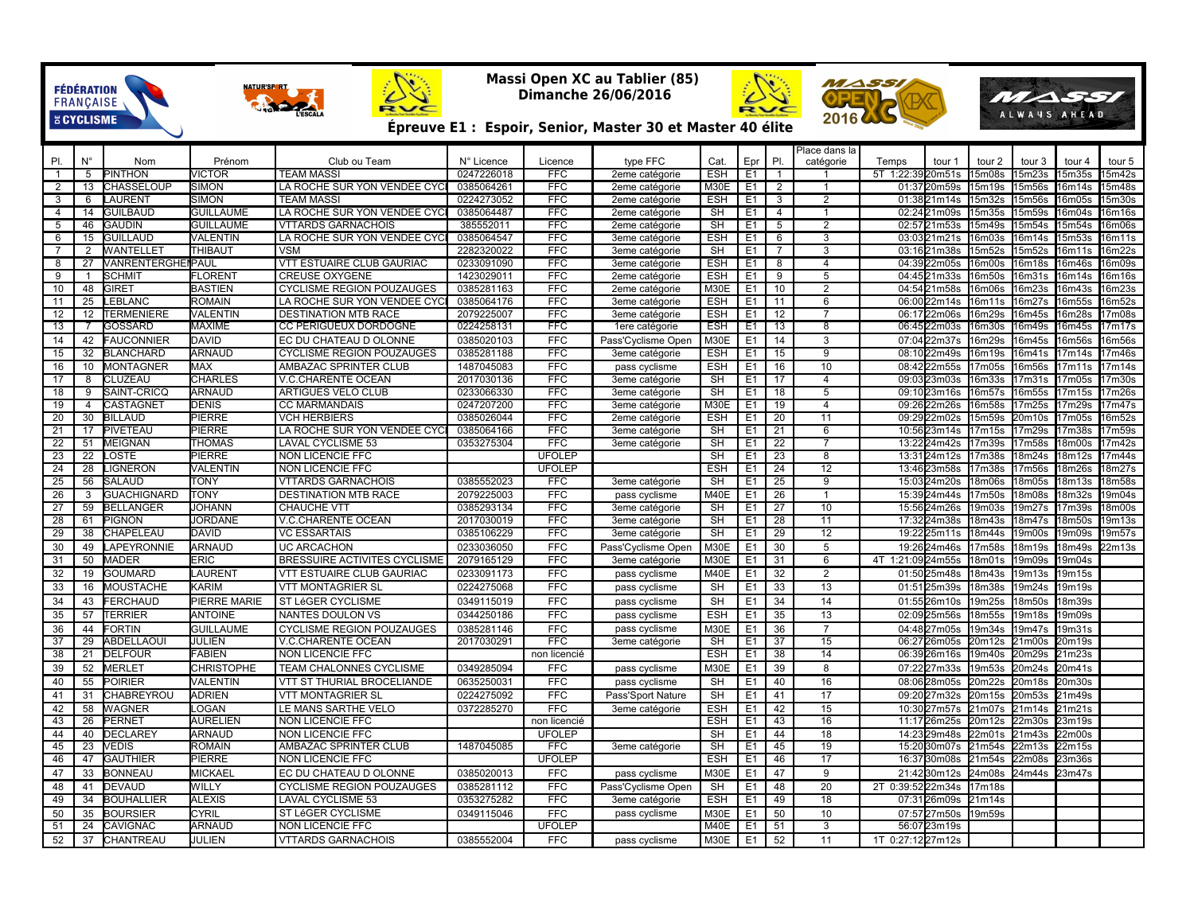## **Massi Open XC au Tablier (85) Dimanche 26/06/2016**

FÉDÉRATION<br>FRANÇAISE<br>ECYCLISME

NATURISE RT

 $2\frac{1}{2}$ 



Ż



## **Épreuve E1 : Espoir, Senior, Master 30 et Master 40 élite**

| PI.<br>Ν°<br>Prénom<br>Club ou Team<br>N° Licence<br>type FFC<br>Epr<br>catégorie<br>PI.<br>Nom<br>Licence<br>Cat.<br>Temps<br>tour 1<br>tour 2<br>tour 3<br>tour 4<br>tour 5<br>5<br><b>PINTHON</b><br><b>VICTOR</b><br><b>TEAM MASSI</b><br>0247226018<br><b>ESH</b><br>E <sub>1</sub><br>$\overline{1}$<br>5T 1:22:39<br>20m51s<br>15m08s<br>15m23s<br>5m35s<br>5m42s<br>$\mathbf{1}$<br><b>FFC</b><br>2eme catégorie<br>2<br>CHASSELOUP<br>SIMON<br>LA ROCHE SUR YON VENDEE CYC<br>0385064261<br><b>FFC</b><br><b>M30E</b><br>E1<br>15m56s<br>$\overline{2}$<br>13<br>2eme catégorie<br>01:3720m59s<br>15m19s<br>16m14s<br>15m48s<br>-1<br><b>FFC</b><br>3<br>01:3821m14s<br>3<br>6<br>_AURENT<br>SIMON<br>TEAM MASSI<br>0224273052<br>2eme catégorie<br>ESH<br>E1<br>2<br>15m32s<br>15m56s<br>16m05s<br>15m30s<br><b>GUILBAUD</b><br>$\overline{4}$<br>14<br><b>GUILLAUME</b><br>LA ROCHE SUR YON VENDEE CYC<br>0385064487<br><b>FFC</b><br><b>SH</b><br>E <sub>1</sub><br>$\overline{4}$<br>$\overline{1}$<br>02:2421m09s<br>15m35s<br>15m59s<br>16m04s<br>16m16s<br>2eme catégorie<br>$\overline{\mathsf{SH}}$<br>5<br>46<br>GAUDIN<br><b>VTTARDS GARNACHOIS</b><br><b>FFC</b><br>E <sub>1</sub><br>$\overline{2}$<br>02:5721m53s<br>15m54s<br>15m54s<br>16m06s<br>5<br>GUILLAUME<br>385552011<br>15m49s<br>2eme catégorie<br>15<br><b>GUILLAUD</b><br>VALENTIN<br>LA ROCHE SUR YON VENDEE CYC<br>0385064547<br><b>FFC</b><br><b>ESH</b><br>E <sub>1</sub><br>6<br>03:0321m21s<br>16m03s<br>16m14s<br>5m53s<br>16m11s<br>6<br>3eme catégorie<br>3<br>$\overline{7}$<br>2<br><b>WANTELLET</b><br><b>THIBAUT</b><br><b>VSM</b><br>2282320022<br><b>FFC</b><br><b>SH</b><br>E <sub>1</sub><br>$\overline{7}$<br>3<br>03:1621m38s<br>15m52s<br>15m52s<br>16m11s<br>16m22s<br>3eme catégorie<br><b>VANRENTERGHEIPAUL</b><br><b>VTT ESTUAIRE CLUB GAURIAC</b><br><b>ESH</b><br>27<br><b>FFC</b><br>E <sub>1</sub><br>8<br>$\overline{4}$<br>04:3922m05s<br>16m00s<br>16m18s<br>16m46s<br>16m09s<br>8<br>0233091090<br>3eme catégorie<br><b>FLORENT</b><br><b>CREUSE OXYGENE</b><br>1423029011<br><b>FFC</b><br><b>ESH</b><br>E <sub>1</sub><br>9<br>04:4521m33s<br>16m50s<br>16m31s<br>9<br>SCHMIT<br>5<br>16m14s<br>16m16s<br>-1<br>2eme catégorie<br>GIRET<br><b>FFC</b><br><b>M30E</b><br>E1<br>2<br>10<br>48<br><b>BASTIEN</b><br><b>CYCLISME REGION POUZAUGES</b><br>0385281163<br>10<br>04:5421m58s<br>16m06s<br>16m23s<br>16m43s<br>16m23s<br>2eme catégorie<br>25<br><b>ROMAIN</b><br><b>FFC</b><br>E <sub>1</sub><br>16m52s<br>11<br>EBLANC.<br>LA ROCHE SUR YON VENDEE CYC<br>0385064176<br>ESH<br>11<br>6<br>06:00<br>22m14s<br>16m11s<br>16m27s<br>16m55s<br>3eme catégorie<br>12 <sup>2</sup><br>12<br><b>TERMENIERE</b><br>VALENTIN<br><b>DESTINATION MTB RACE</b><br>2079225007<br><b>FFC</b><br><b>ESH</b><br>E <sub>1</sub><br>12<br>06:1722m06s<br>16m29s<br>16m45s<br>16m28s<br>17m08s<br>3eme catégorie<br><b>FFC</b><br>13<br>GOSSARD<br><b>MAXIME</b><br>CC PERIGUEUX DORDOGNE<br>0224258131<br><b>ESH</b><br>E <sub>1</sub><br>13<br>8<br>06:4522m03s<br>16m30s<br>16m49s<br>16m45s<br>17m17s<br>$\overline{7}$<br>1ere catégorie<br>14<br>42<br><b>FAUCONNIER</b><br>DAVID<br>EC DU CHATEAU D OLONNE<br><b>FFC</b><br><b>M30E</b><br>E1<br>14<br>3<br>07:0422m37s<br>16m45s<br>0385020103<br>Pass'Cvclisme Open<br>16m29s<br>16m56s<br>16m56s<br>32<br>ARNAUD<br><b>FFC</b><br>E1<br>15<br>08:10<br>16m41s<br>17m46s<br>15<br><b>BLANCHARD</b><br><b>CYCLISME REGION POUZAUGES</b><br>0385281188<br>3eme catégorie<br>ESH<br>9<br>22m49s<br>16m19s<br>17m14s<br><b>MAX</b><br>AMBAZAC SPRINTER CLUB<br><b>FFC</b><br><b>ESH</b><br>E <sub>1</sub><br>16<br>10<br>08:4222m55s<br><b>MONTAGNER</b><br>1487045083<br>17m05s<br>16m56s<br>7m11s<br>17m14s<br>16<br>10<br>pass cyclisme<br>17<br>CLUZEAU<br>CHARLES<br>V.C.CHARENTE OCEAN<br>2017030136<br><b>FFC</b><br><b>SH</b><br>E <sub>1</sub><br>17<br>09:0323m03s<br>16m33s<br>17m31s<br>7m05s<br>17m30s<br>8<br>3eme catégorie<br>4<br>18<br>SAINT-CRICQ<br><b>ARNAUD</b><br>0233066330<br><b>FFC</b><br>SH<br>E <sub>1</sub><br>18<br>5<br>16m57s<br>16m55s<br>9<br>ARTIGUES VELO CLUB<br>09:1023m16s<br>7m15s<br>17m26s<br>3eme catégorie<br>19<br><b>DENIS</b><br><b>FFC</b><br>M30E<br>E1<br>17 <sub>m47s</sub><br>CASTAGNET<br><b>CC MARMANDAIS</b><br>19<br>$\overline{4}$<br>09:2622m26s<br>16m58s<br>17m25s<br>17m29s<br>$\overline{4}$<br>0247207200<br>3eme catégorie<br>PIERRE<br>20<br>30<br><b>BILLAUD</b><br><b>VCH HERBIERS</b><br>0385026044<br><b>FFC</b><br><b>ESH</b><br>E <sub>1</sub><br>20<br>11<br>09:2922m02s<br>15m59s<br>20m10s<br>7m05s<br>16m52s<br>2eme catégorie<br>21<br>PIERRE<br><b>FFC</b><br>SH<br>$\overline{21}$<br>17<br>PIVETEAU<br>LA ROCHE SUR YON VENDEE CYC<br>0385064166<br>E <sub>1</sub><br>6<br>10:5623m14s<br>17m15s<br>17m29s<br>7m38s<br>17m59s<br>3eme catégorie<br><b>SH</b><br>22<br>51<br>MEIGNAN<br><b>THOMAS</b><br>LAVAL CYCLISME 53<br>0353275304<br><b>FFC</b><br>E <sub>1</sub><br>22<br>$\overline{7}$<br>13:2224m42s<br>17m39s<br>17m58s<br>18m00s<br>17m42s<br>3eme catégorie<br><b>UFOLEP</b><br>23<br>22<br>.OSTE<br><b>PIERRE</b><br>NON LICENCIE FFC<br><b>SH</b><br>E <sub>1</sub><br>23<br>13:3124m12s<br>17m38s<br>18m24s<br>18m12s<br>17m44s<br>8<br>$\overline{24}$<br>12<br>24<br>28<br><b>IGNERON</b><br><b>VALENTIN</b><br><b>UFOLEP</b><br><b>ESH</b><br>E <sub>1</sub><br>13:46 23m58s<br>17m56s<br>18m26s<br>NON LICENCIE FFC<br>17m38s<br>18m27s<br>56<br>25<br>SALAUD<br>TONY<br><b>VTTARDS GARNACHOIS</b><br>0385552023<br><b>FFC</b><br><b>SH</b><br>E <sub>1</sub><br>25<br>9<br>15:03<br>24m20s<br>18m06s<br>18m05s<br>18m13s<br>18m58s<br>3eme catégorie<br>E1<br>26<br><b>GUACHIGNARD</b><br><b>FFC</b><br>M40E<br>26<br>3<br>TONY<br><b>DESTINATION MTB RACE</b><br>2079225003<br>15:39 24m44s<br>17m50s<br>18m08s<br>18m32s<br>19m04s<br>pass cyclisme<br>$\overline{1}$<br>$\overline{27}$<br>$\overline{27}$<br>10<br>59<br><b>BELLANGER</b><br>JOHANN<br><b>CHAUCHE VTT</b><br>0385293134<br><b>FFC</b><br><b>SH</b><br>E <sub>1</sub><br>15:56 24m26s<br>19m03s<br>19m27s<br>17m39s<br>18m00s<br>3eme catégorie<br>28<br><b>JORDANE</b><br><b>FFC</b><br>SH<br>E <sub>1</sub><br>28<br>11<br>61<br>PIGNON<br>V.C.CHARENTE OCEAN<br>2017030019<br>17:3224m38s<br>18m43s<br>18m47s<br>18m50s<br>19m13s<br>3eme catégorie<br>29<br>SH<br>29<br>38<br>CHAPELEAU<br><b>DAVID</b><br><b>VC ESSARTAIS</b><br>0385106229<br><b>FFC</b><br>E <sub>1</sub><br>12<br>19:2225m11s<br>18m44s<br>19m00s<br>19m09s<br>19m57s<br>3eme catégorie<br>30<br>5<br>30<br><b>FFC</b><br><b>M30E</b><br>E <sub>1</sub><br>17m58s<br>18m19s<br>49<br><b>APEYRONNIE</b><br>ARNAUD<br><b>UC ARCACHON</b><br>0233036050<br>Pass'Cyclisme Open<br>19:26 24m46s<br>18m49s<br>22m13s<br>31<br>50<br><b>MADER</b><br>ERIC<br>BRESSUIRE ACTIVITES CYCLISME<br>2079165129<br><b>FFC</b><br><b>M30E</b><br>E1<br>31<br>6<br>4T<br>1:21:09 24m55s<br>18m01s<br>19m09s<br>19m04s<br>3eme catégorie<br>32<br>32<br><b>GOUMARD</b><br><b>LAURENT</b><br>VTT ESTUAIRE CLUB GAURIAC<br>0233091173<br><b>FFC</b><br>M40E<br>E <sub>1</sub><br>$\overline{2}$<br>01:50 25m48s<br>18m43s<br>19m13s<br>19<br>pass cyclisme<br>19m15s<br>33<br>33<br>KARIM<br><b>FFC</b><br><b>SH</b><br>E <sub>1</sub><br>16<br>MOUSTACHE<br>VTT MONTAGRIER SL<br>0224275068<br>13<br>01:5125m39s<br>18m38s<br>19m24s<br>19m19s<br>pass cyclisme<br><b>ERCHAUD</b><br><b>FFC</b><br><b>SH</b><br>34<br>14<br>34<br>43<br>PIERRE MARIE<br>ST LéGER CYCLISME<br>0349115019<br>E <sub>1</sub><br>01:5526m10s<br>19m25s<br>18m50s<br>18m39s<br>pass cyclisme<br>57<br><b>TERRIER</b><br><b>FFC</b><br><b>ESH</b><br>E1<br>35<br>13<br>02:0925m56s<br>35<br><b>ANTOINE</b><br><b>NANTES DOULON VS</b><br>0344250186<br>18m55s<br>19m18s<br>19m09s<br>pass cyclisme<br>36<br>36<br>44<br>FORTIN<br><b>GUILLAUME</b><br><b>CYCLISME REGION POUZAUGES</b><br>0385281146<br><b>FFC</b><br><b>M30E</b><br>E <sub>1</sub><br>$\overline{7}$<br>04:4827m05s<br>19m34s<br>19m47s<br>19m31s<br>pass cyclisme<br>37<br>29<br>E1<br>37<br>ABDELLAOUI<br>JULIEN<br><b>V.C.CHARENTE OCEAN</b><br>2017030291<br><b>FFC</b><br><b>SH</b><br>15<br>06:2726m05s<br>3eme catégorie<br>20m12s<br>21m00s<br>20m19s<br>38<br>DELFOUR<br>NON LICENCIE FFC<br><b>ESH</b><br>E <sub>1</sub><br>21<br>FABIEN<br>non licencié<br>38<br>14<br>06:3926m16s<br>19m40s<br>20m29s<br>21m23s<br>E <sub>1</sub><br>39<br>39<br>52<br>MERLET<br><b>CHRISTOPHE</b><br>TEAM CHALONNES CYCLISME<br>0349285094<br><b>FFC</b><br>M30E<br>8<br>07:2227m33s<br>19m53s<br>20m24s<br>pass cyclisme<br>20m41s<br>55<br><b>FFC</b><br>E1<br>40<br>20m18s<br>40<br>POIRIER<br>VALENTIN<br><b>VTT ST THURIAL BROCELIANDE</b><br>0635250031<br><b>SH</b><br>16<br>08:0628m05s<br>20m22s<br>20m30s<br>pass cyclisme<br>CHABREYROU<br><b>ADRIEN</b><br><b>VTT MONTAGRIER SL</b><br>0224275092<br><b>FFC</b><br><b>SH</b><br>E <sub>1</sub><br>41<br>17<br>27m32s<br>20m53s<br>41<br>31<br>09:20<br>20m15s<br>21m49s<br>Pass'Sport Nature<br><b>ESH</b><br>42<br>58<br><b>WAGNER</b><br>LOGAN<br>LE MANS SARTHE VELO<br>0372285270<br><b>FFC</b><br>E1<br>42<br>15<br>10:30<br>27m57s<br>21m07s<br>21m14s<br>21m21s<br>3eme catégorie<br><b>AURELIEN</b><br>43<br>26<br>PERNET<br>NON LICENCIE FFC<br><b>ESH</b><br>E <sub>1</sub><br>43<br>16<br>11:1726m25s<br>22m30s<br>non licencié<br>20m12s<br>23m19s<br><b>UFOLEP</b><br>$\overline{\mathsf{S}}$ H<br>44<br>$\overline{18}$<br>14:23 29m48s<br>44<br>DECLAREY<br><b>ARNAUD</b><br><b>NON LICENCIE FFC</b><br>E <sub>1</sub><br>22m01s<br>21m43s<br>22m00s<br>40<br><b>ROMAIN</b><br>1487045085<br>SH<br>E <sub>1</sub><br>45<br>19<br>45<br>23<br><b>VEDIS</b><br>AMBAZAC SPRINTER CLUB<br><b>FFC</b><br>15:20<br>30m07s<br>21m54s<br>22m13s<br>22m15s<br>3eme catégorie<br>46<br>47<br>GAUTHIER<br><b>PIERRE</b><br><b>UFOLEP</b><br><b>ESH</b><br>E1<br>46<br>17<br>NON LICENCIE FFC<br>16:3730m08s<br>21m54s<br>22m08s<br>23m36s<br>33<br><b>BONNEAU</b><br>MICKAEL<br>EC DU CHATEAU D OLONNE<br>0385020013<br><b>FFC</b><br><b>M30E</b><br>E <sub>1</sub><br>47<br>9<br>21:4230m12s<br>24m08s<br>47<br>pass cyclisme<br>24m44s<br>23m47s<br><b>DEVAUD</b><br><b>CYCLISME REGION POUZAUGES</b><br><b>SH</b><br>E <sub>1</sub><br>48<br>20<br>0:39:5222m34s<br>48<br>41<br>WILLY<br>0385281112<br><b>FFC</b><br>Pass'Cyclisme Open<br>2T<br>17m18s<br>34<br><b>BOUHALLIER</b><br><b>ALEXIS</b><br>0353275282<br><b>FFC</b><br><b>ESH</b><br>E <sub>1</sub><br>49<br>18<br>07:3126m09s<br>49<br><b>LAVAL CYCLISME 53</b><br>21m14s<br>3eme catégorie<br>50<br>50<br>35<br><b>BOURSIER</b><br><b>CYRIL</b><br>ST LéGER CYCLISME<br><b>FFC</b><br><b>M30E</b><br>E <sub>1</sub><br>10<br>07:57 27m50s<br>0349115046<br>19m59s<br>pass cyclisme<br>51<br>24<br><b>UFOLEP</b><br>56:07 23m19s<br><b>CAVIGNAC</b><br>ARNAUD<br>NON LICENCIE FFC<br><b>M40E</b><br>E <sub>1</sub><br>51<br>3<br>1T 0:27:1227m12s |    |    |                  |        |                           |            |            |               |      |                |    | Place dans la |  |  |  |
|-------------------------------------------------------------------------------------------------------------------------------------------------------------------------------------------------------------------------------------------------------------------------------------------------------------------------------------------------------------------------------------------------------------------------------------------------------------------------------------------------------------------------------------------------------------------------------------------------------------------------------------------------------------------------------------------------------------------------------------------------------------------------------------------------------------------------------------------------------------------------------------------------------------------------------------------------------------------------------------------------------------------------------------------------------------------------------------------------------------------------------------------------------------------------------------------------------------------------------------------------------------------------------------------------------------------------------------------------------------------------------------------------------------------------------------------------------------------------------------------------------------------------------------------------------------------------------------------------------------------------------------------------------------------------------------------------------------------------------------------------------------------------------------------------------------------------------------------------------------------------------------------------------------------------------------------------------------------------------------------------------------------------------------------------------------------------------------------------------------------------------------------------------------------------------------------------------------------------------------------------------------------------------------------------------------------------------------------------------------------------------------------------------------------------------------------------------------------------------------------------------------------------------------------------------------------------------------------------------------------------------------------------------------------------------------------------------------------------------------------------------------------------------------------------------------------------------------------------------------------------------------------------------------------------------------------------------------------------------------------------------------------------------------------------------------------------------------------------------------------------------------------------------------------------------------------------------------------------------------------------------------------------------------------------------------------------------------------------------------------------------------------------------------------------------------------------------------------------------------------------------------------------------------------------------------------------------------------------------------------------------------------------------------------------------------------------------------------------------------------------------------------------------------------------------------------------------------------------------------------------------------------------------------------------------------------------------------------------------------------------------------------------------------------------------------------------------------------------------------------------------------------------------------------------------------------------------------------------------------------------------------------------------------------------------------------------------------------------------------------------------------------------------------------------------------------------------------------------------------------------------------------------------------------------------------------------------------------------------------------------------------------------------------------------------------------------------------------------------------------------------------------------------------------------------------------------------------------------------------------------------------------------------------------------------------------------------------------------------------------------------------------------------------------------------------------------------------------------------------------------------------------------------------------------------------------------------------------------------------------------------------------------------------------------------------------------------------------------------------------------------------------------------------------------------------------------------------------------------------------------------------------------------------------------------------------------------------------------------------------------------------------------------------------------------------------------------------------------------------------------------------------------------------------------------------------------------------------------------------------------------------------------------------------------------------------------------------------------------------------------------------------------------------------------------------------------------------------------------------------------------------------------------------------------------------------------------------------------------------------------------------------------------------------------------------------------------------------------------------------------------------------------------------------------------------------------------------------------------------------------------------------------------------------------------------------------------------------------------------------------------------------------------------------------------------------------------------------------------------------------------------------------------------------------------------------------------------------------------------------------------------------------------------------------------------------------------------------------------------------------------------------------------------------------------------------------------------------------------------------------------------------------------------------------------------------------------------------------------------------------------------------------------------------------------------------------------------------------------------------------------------------------------------------------------------------------------------------------------------------------------------------------------------------------------------------------------------------------------------------------------------------------------------------------------------------------------------------------------------------------------------------------------------------------------------------------------------------------------------------------------------------------------------------------------------------------------------------------------------------------------------------------------------------------------------------------------------------------------------------------------------------------------------------------------------------------------------------------------------------------------------------------------------------------------------------------------------------------------------------------------------------------------------------------------------------------------------------------------------------------------------------------------------------------------------------------------------------------------------------------------------------------------------------------------------------------------------------------------------------------------------------------------------------------------------------------------------------------------------------------------------------------------------------------------------------------------------------------------------------------------------------------------------------------------------------------------------------------------------------------------------------------------------------------------------------------------------------------------------------------------------------------------------------------------------------------------------------------------------------------------------------------------------------------------------------------------------------------------------------------------------------------------------------------------------------------------------------------------------------------------------------------------------------------------------------------------------------------------------------------------------------------------------------------------------------------------------------------------------------------------------------------------------------------------------------------------------------------------------------------------------------------------------------------------------------------------------------------------------------------------------------------------------------------------------------------------------------------------------------------------------------------------------------------------------------------------------------------------------------------------------------------------------------------------------------------------------------------------------------------------------------------------------------------------------------------------------------------------------------------------------------------------------------------------------------------------------------------------------------------------------------------------------------------------------------------------------------------------------------------------------------------------------------------------------------------------------------------------------------------------------------------|----|----|------------------|--------|---------------------------|------------|------------|---------------|------|----------------|----|---------------|--|--|--|
|                                                                                                                                                                                                                                                                                                                                                                                                                                                                                                                                                                                                                                                                                                                                                                                                                                                                                                                                                                                                                                                                                                                                                                                                                                                                                                                                                                                                                                                                                                                                                                                                                                                                                                                                                                                                                                                                                                                                                                                                                                                                                                                                                                                                                                                                                                                                                                                                                                                                                                                                                                                                                                                                                                                                                                                                                                                                                                                                                                                                                                                                                                                                                                                                                                                                                                                                                                                                                                                                                                                                                                                                                                                                                                                                                                                                                                                                                                                                                                                                                                                                                                                                                                                                                                                                                                                                                                                                                                                                                                                                                                                                                                                                                                                                                                                                                                                                                                                                                                                                                                                                                                                                                                                                                                                                                                                                                                                                                                                                                                                                                                                                                                                                                                                                                                                                                                                                                                                                                                                                                                                                                                                                                                                                                                                                                                                                                                                                                                                                                                                                                                                                                                                                                                                                                                                                                                                                                                                                                                                                                                                                                                                                                                                                                                                                                                                                                                                                                                                                                                                                                                                                                                                                                                                                                                                                                                                                                                                                                                                                                                                                                                                                                                                                                                                                                                                                                                                                                                                                                                                                                                                                                                                                                                                                                                                                                                                                                                                                                                                                                                                                                                                                                                                                                                                                                                                                                                                                                                                                                                                                                                                                                                                                                                                                                                                                                                                                                                                                                                                                                                                                                                                                                                                                                                                                                                                                                                                                                                                                                                                                                                                                                                                                                                                                                                                                                                                                                                                                                                                                                         |    |    |                  |        |                           |            |            |               |      |                |    |               |  |  |  |
|                                                                                                                                                                                                                                                                                                                                                                                                                                                                                                                                                                                                                                                                                                                                                                                                                                                                                                                                                                                                                                                                                                                                                                                                                                                                                                                                                                                                                                                                                                                                                                                                                                                                                                                                                                                                                                                                                                                                                                                                                                                                                                                                                                                                                                                                                                                                                                                                                                                                                                                                                                                                                                                                                                                                                                                                                                                                                                                                                                                                                                                                                                                                                                                                                                                                                                                                                                                                                                                                                                                                                                                                                                                                                                                                                                                                                                                                                                                                                                                                                                                                                                                                                                                                                                                                                                                                                                                                                                                                                                                                                                                                                                                                                                                                                                                                                                                                                                                                                                                                                                                                                                                                                                                                                                                                                                                                                                                                                                                                                                                                                                                                                                                                                                                                                                                                                                                                                                                                                                                                                                                                                                                                                                                                                                                                                                                                                                                                                                                                                                                                                                                                                                                                                                                                                                                                                                                                                                                                                                                                                                                                                                                                                                                                                                                                                                                                                                                                                                                                                                                                                                                                                                                                                                                                                                                                                                                                                                                                                                                                                                                                                                                                                                                                                                                                                                                                                                                                                                                                                                                                                                                                                                                                                                                                                                                                                                                                                                                                                                                                                                                                                                                                                                                                                                                                                                                                                                                                                                                                                                                                                                                                                                                                                                                                                                                                                                                                                                                                                                                                                                                                                                                                                                                                                                                                                                                                                                                                                                                                                                                                                                                                                                                                                                                                                                                                                                                                                                                                                                                                                         |    |    |                  |        |                           |            |            |               |      |                |    |               |  |  |  |
|                                                                                                                                                                                                                                                                                                                                                                                                                                                                                                                                                                                                                                                                                                                                                                                                                                                                                                                                                                                                                                                                                                                                                                                                                                                                                                                                                                                                                                                                                                                                                                                                                                                                                                                                                                                                                                                                                                                                                                                                                                                                                                                                                                                                                                                                                                                                                                                                                                                                                                                                                                                                                                                                                                                                                                                                                                                                                                                                                                                                                                                                                                                                                                                                                                                                                                                                                                                                                                                                                                                                                                                                                                                                                                                                                                                                                                                                                                                                                                                                                                                                                                                                                                                                                                                                                                                                                                                                                                                                                                                                                                                                                                                                                                                                                                                                                                                                                                                                                                                                                                                                                                                                                                                                                                                                                                                                                                                                                                                                                                                                                                                                                                                                                                                                                                                                                                                                                                                                                                                                                                                                                                                                                                                                                                                                                                                                                                                                                                                                                                                                                                                                                                                                                                                                                                                                                                                                                                                                                                                                                                                                                                                                                                                                                                                                                                                                                                                                                                                                                                                                                                                                                                                                                                                                                                                                                                                                                                                                                                                                                                                                                                                                                                                                                                                                                                                                                                                                                                                                                                                                                                                                                                                                                                                                                                                                                                                                                                                                                                                                                                                                                                                                                                                                                                                                                                                                                                                                                                                                                                                                                                                                                                                                                                                                                                                                                                                                                                                                                                                                                                                                                                                                                                                                                                                                                                                                                                                                                                                                                                                                                                                                                                                                                                                                                                                                                                                                                                                                                                                                                         |    |    |                  |        |                           |            |            |               |      |                |    |               |  |  |  |
|                                                                                                                                                                                                                                                                                                                                                                                                                                                                                                                                                                                                                                                                                                                                                                                                                                                                                                                                                                                                                                                                                                                                                                                                                                                                                                                                                                                                                                                                                                                                                                                                                                                                                                                                                                                                                                                                                                                                                                                                                                                                                                                                                                                                                                                                                                                                                                                                                                                                                                                                                                                                                                                                                                                                                                                                                                                                                                                                                                                                                                                                                                                                                                                                                                                                                                                                                                                                                                                                                                                                                                                                                                                                                                                                                                                                                                                                                                                                                                                                                                                                                                                                                                                                                                                                                                                                                                                                                                                                                                                                                                                                                                                                                                                                                                                                                                                                                                                                                                                                                                                                                                                                                                                                                                                                                                                                                                                                                                                                                                                                                                                                                                                                                                                                                                                                                                                                                                                                                                                                                                                                                                                                                                                                                                                                                                                                                                                                                                                                                                                                                                                                                                                                                                                                                                                                                                                                                                                                                                                                                                                                                                                                                                                                                                                                                                                                                                                                                                                                                                                                                                                                                                                                                                                                                                                                                                                                                                                                                                                                                                                                                                                                                                                                                                                                                                                                                                                                                                                                                                                                                                                                                                                                                                                                                                                                                                                                                                                                                                                                                                                                                                                                                                                                                                                                                                                                                                                                                                                                                                                                                                                                                                                                                                                                                                                                                                                                                                                                                                                                                                                                                                                                                                                                                                                                                                                                                                                                                                                                                                                                                                                                                                                                                                                                                                                                                                                                                                                                                                                                                         |    |    |                  |        |                           |            |            |               |      |                |    |               |  |  |  |
|                                                                                                                                                                                                                                                                                                                                                                                                                                                                                                                                                                                                                                                                                                                                                                                                                                                                                                                                                                                                                                                                                                                                                                                                                                                                                                                                                                                                                                                                                                                                                                                                                                                                                                                                                                                                                                                                                                                                                                                                                                                                                                                                                                                                                                                                                                                                                                                                                                                                                                                                                                                                                                                                                                                                                                                                                                                                                                                                                                                                                                                                                                                                                                                                                                                                                                                                                                                                                                                                                                                                                                                                                                                                                                                                                                                                                                                                                                                                                                                                                                                                                                                                                                                                                                                                                                                                                                                                                                                                                                                                                                                                                                                                                                                                                                                                                                                                                                                                                                                                                                                                                                                                                                                                                                                                                                                                                                                                                                                                                                                                                                                                                                                                                                                                                                                                                                                                                                                                                                                                                                                                                                                                                                                                                                                                                                                                                                                                                                                                                                                                                                                                                                                                                                                                                                                                                                                                                                                                                                                                                                                                                                                                                                                                                                                                                                                                                                                                                                                                                                                                                                                                                                                                                                                                                                                                                                                                                                                                                                                                                                                                                                                                                                                                                                                                                                                                                                                                                                                                                                                                                                                                                                                                                                                                                                                                                                                                                                                                                                                                                                                                                                                                                                                                                                                                                                                                                                                                                                                                                                                                                                                                                                                                                                                                                                                                                                                                                                                                                                                                                                                                                                                                                                                                                                                                                                                                                                                                                                                                                                                                                                                                                                                                                                                                                                                                                                                                                                                                                                                                                         |    |    |                  |        |                           |            |            |               |      |                |    |               |  |  |  |
|                                                                                                                                                                                                                                                                                                                                                                                                                                                                                                                                                                                                                                                                                                                                                                                                                                                                                                                                                                                                                                                                                                                                                                                                                                                                                                                                                                                                                                                                                                                                                                                                                                                                                                                                                                                                                                                                                                                                                                                                                                                                                                                                                                                                                                                                                                                                                                                                                                                                                                                                                                                                                                                                                                                                                                                                                                                                                                                                                                                                                                                                                                                                                                                                                                                                                                                                                                                                                                                                                                                                                                                                                                                                                                                                                                                                                                                                                                                                                                                                                                                                                                                                                                                                                                                                                                                                                                                                                                                                                                                                                                                                                                                                                                                                                                                                                                                                                                                                                                                                                                                                                                                                                                                                                                                                                                                                                                                                                                                                                                                                                                                                                                                                                                                                                                                                                                                                                                                                                                                                                                                                                                                                                                                                                                                                                                                                                                                                                                                                                                                                                                                                                                                                                                                                                                                                                                                                                                                                                                                                                                                                                                                                                                                                                                                                                                                                                                                                                                                                                                                                                                                                                                                                                                                                                                                                                                                                                                                                                                                                                                                                                                                                                                                                                                                                                                                                                                                                                                                                                                                                                                                                                                                                                                                                                                                                                                                                                                                                                                                                                                                                                                                                                                                                                                                                                                                                                                                                                                                                                                                                                                                                                                                                                                                                                                                                                                                                                                                                                                                                                                                                                                                                                                                                                                                                                                                                                                                                                                                                                                                                                                                                                                                                                                                                                                                                                                                                                                                                                                                                                         |    |    |                  |        |                           |            |            |               |      |                |    |               |  |  |  |
|                                                                                                                                                                                                                                                                                                                                                                                                                                                                                                                                                                                                                                                                                                                                                                                                                                                                                                                                                                                                                                                                                                                                                                                                                                                                                                                                                                                                                                                                                                                                                                                                                                                                                                                                                                                                                                                                                                                                                                                                                                                                                                                                                                                                                                                                                                                                                                                                                                                                                                                                                                                                                                                                                                                                                                                                                                                                                                                                                                                                                                                                                                                                                                                                                                                                                                                                                                                                                                                                                                                                                                                                                                                                                                                                                                                                                                                                                                                                                                                                                                                                                                                                                                                                                                                                                                                                                                                                                                                                                                                                                                                                                                                                                                                                                                                                                                                                                                                                                                                                                                                                                                                                                                                                                                                                                                                                                                                                                                                                                                                                                                                                                                                                                                                                                                                                                                                                                                                                                                                                                                                                                                                                                                                                                                                                                                                                                                                                                                                                                                                                                                                                                                                                                                                                                                                                                                                                                                                                                                                                                                                                                                                                                                                                                                                                                                                                                                                                                                                                                                                                                                                                                                                                                                                                                                                                                                                                                                                                                                                                                                                                                                                                                                                                                                                                                                                                                                                                                                                                                                                                                                                                                                                                                                                                                                                                                                                                                                                                                                                                                                                                                                                                                                                                                                                                                                                                                                                                                                                                                                                                                                                                                                                                                                                                                                                                                                                                                                                                                                                                                                                                                                                                                                                                                                                                                                                                                                                                                                                                                                                                                                                                                                                                                                                                                                                                                                                                                                                                                                                                                         |    |    |                  |        |                           |            |            |               |      |                |    |               |  |  |  |
|                                                                                                                                                                                                                                                                                                                                                                                                                                                                                                                                                                                                                                                                                                                                                                                                                                                                                                                                                                                                                                                                                                                                                                                                                                                                                                                                                                                                                                                                                                                                                                                                                                                                                                                                                                                                                                                                                                                                                                                                                                                                                                                                                                                                                                                                                                                                                                                                                                                                                                                                                                                                                                                                                                                                                                                                                                                                                                                                                                                                                                                                                                                                                                                                                                                                                                                                                                                                                                                                                                                                                                                                                                                                                                                                                                                                                                                                                                                                                                                                                                                                                                                                                                                                                                                                                                                                                                                                                                                                                                                                                                                                                                                                                                                                                                                                                                                                                                                                                                                                                                                                                                                                                                                                                                                                                                                                                                                                                                                                                                                                                                                                                                                                                                                                                                                                                                                                                                                                                                                                                                                                                                                                                                                                                                                                                                                                                                                                                                                                                                                                                                                                                                                                                                                                                                                                                                                                                                                                                                                                                                                                                                                                                                                                                                                                                                                                                                                                                                                                                                                                                                                                                                                                                                                                                                                                                                                                                                                                                                                                                                                                                                                                                                                                                                                                                                                                                                                                                                                                                                                                                                                                                                                                                                                                                                                                                                                                                                                                                                                                                                                                                                                                                                                                                                                                                                                                                                                                                                                                                                                                                                                                                                                                                                                                                                                                                                                                                                                                                                                                                                                                                                                                                                                                                                                                                                                                                                                                                                                                                                                                                                                                                                                                                                                                                                                                                                                                                                                                                                                                                         |    |    |                  |        |                           |            |            |               |      |                |    |               |  |  |  |
|                                                                                                                                                                                                                                                                                                                                                                                                                                                                                                                                                                                                                                                                                                                                                                                                                                                                                                                                                                                                                                                                                                                                                                                                                                                                                                                                                                                                                                                                                                                                                                                                                                                                                                                                                                                                                                                                                                                                                                                                                                                                                                                                                                                                                                                                                                                                                                                                                                                                                                                                                                                                                                                                                                                                                                                                                                                                                                                                                                                                                                                                                                                                                                                                                                                                                                                                                                                                                                                                                                                                                                                                                                                                                                                                                                                                                                                                                                                                                                                                                                                                                                                                                                                                                                                                                                                                                                                                                                                                                                                                                                                                                                                                                                                                                                                                                                                                                                                                                                                                                                                                                                                                                                                                                                                                                                                                                                                                                                                                                                                                                                                                                                                                                                                                                                                                                                                                                                                                                                                                                                                                                                                                                                                                                                                                                                                                                                                                                                                                                                                                                                                                                                                                                                                                                                                                                                                                                                                                                                                                                                                                                                                                                                                                                                                                                                                                                                                                                                                                                                                                                                                                                                                                                                                                                                                                                                                                                                                                                                                                                                                                                                                                                                                                                                                                                                                                                                                                                                                                                                                                                                                                                                                                                                                                                                                                                                                                                                                                                                                                                                                                                                                                                                                                                                                                                                                                                                                                                                                                                                                                                                                                                                                                                                                                                                                                                                                                                                                                                                                                                                                                                                                                                                                                                                                                                                                                                                                                                                                                                                                                                                                                                                                                                                                                                                                                                                                                                                                                                                                                                         |    |    |                  |        |                           |            |            |               |      |                |    |               |  |  |  |
|                                                                                                                                                                                                                                                                                                                                                                                                                                                                                                                                                                                                                                                                                                                                                                                                                                                                                                                                                                                                                                                                                                                                                                                                                                                                                                                                                                                                                                                                                                                                                                                                                                                                                                                                                                                                                                                                                                                                                                                                                                                                                                                                                                                                                                                                                                                                                                                                                                                                                                                                                                                                                                                                                                                                                                                                                                                                                                                                                                                                                                                                                                                                                                                                                                                                                                                                                                                                                                                                                                                                                                                                                                                                                                                                                                                                                                                                                                                                                                                                                                                                                                                                                                                                                                                                                                                                                                                                                                                                                                                                                                                                                                                                                                                                                                                                                                                                                                                                                                                                                                                                                                                                                                                                                                                                                                                                                                                                                                                                                                                                                                                                                                                                                                                                                                                                                                                                                                                                                                                                                                                                                                                                                                                                                                                                                                                                                                                                                                                                                                                                                                                                                                                                                                                                                                                                                                                                                                                                                                                                                                                                                                                                                                                                                                                                                                                                                                                                                                                                                                                                                                                                                                                                                                                                                                                                                                                                                                                                                                                                                                                                                                                                                                                                                                                                                                                                                                                                                                                                                                                                                                                                                                                                                                                                                                                                                                                                                                                                                                                                                                                                                                                                                                                                                                                                                                                                                                                                                                                                                                                                                                                                                                                                                                                                                                                                                                                                                                                                                                                                                                                                                                                                                                                                                                                                                                                                                                                                                                                                                                                                                                                                                                                                                                                                                                                                                                                                                                                                                                                                                         |    |    |                  |        |                           |            |            |               |      |                |    |               |  |  |  |
|                                                                                                                                                                                                                                                                                                                                                                                                                                                                                                                                                                                                                                                                                                                                                                                                                                                                                                                                                                                                                                                                                                                                                                                                                                                                                                                                                                                                                                                                                                                                                                                                                                                                                                                                                                                                                                                                                                                                                                                                                                                                                                                                                                                                                                                                                                                                                                                                                                                                                                                                                                                                                                                                                                                                                                                                                                                                                                                                                                                                                                                                                                                                                                                                                                                                                                                                                                                                                                                                                                                                                                                                                                                                                                                                                                                                                                                                                                                                                                                                                                                                                                                                                                                                                                                                                                                                                                                                                                                                                                                                                                                                                                                                                                                                                                                                                                                                                                                                                                                                                                                                                                                                                                                                                                                                                                                                                                                                                                                                                                                                                                                                                                                                                                                                                                                                                                                                                                                                                                                                                                                                                                                                                                                                                                                                                                                                                                                                                                                                                                                                                                                                                                                                                                                                                                                                                                                                                                                                                                                                                                                                                                                                                                                                                                                                                                                                                                                                                                                                                                                                                                                                                                                                                                                                                                                                                                                                                                                                                                                                                                                                                                                                                                                                                                                                                                                                                                                                                                                                                                                                                                                                                                                                                                                                                                                                                                                                                                                                                                                                                                                                                                                                                                                                                                                                                                                                                                                                                                                                                                                                                                                                                                                                                                                                                                                                                                                                                                                                                                                                                                                                                                                                                                                                                                                                                                                                                                                                                                                                                                                                                                                                                                                                                                                                                                                                                                                                                                                                                                                                                         |    |    |                  |        |                           |            |            |               |      |                |    |               |  |  |  |
|                                                                                                                                                                                                                                                                                                                                                                                                                                                                                                                                                                                                                                                                                                                                                                                                                                                                                                                                                                                                                                                                                                                                                                                                                                                                                                                                                                                                                                                                                                                                                                                                                                                                                                                                                                                                                                                                                                                                                                                                                                                                                                                                                                                                                                                                                                                                                                                                                                                                                                                                                                                                                                                                                                                                                                                                                                                                                                                                                                                                                                                                                                                                                                                                                                                                                                                                                                                                                                                                                                                                                                                                                                                                                                                                                                                                                                                                                                                                                                                                                                                                                                                                                                                                                                                                                                                                                                                                                                                                                                                                                                                                                                                                                                                                                                                                                                                                                                                                                                                                                                                                                                                                                                                                                                                                                                                                                                                                                                                                                                                                                                                                                                                                                                                                                                                                                                                                                                                                                                                                                                                                                                                                                                                                                                                                                                                                                                                                                                                                                                                                                                                                                                                                                                                                                                                                                                                                                                                                                                                                                                                                                                                                                                                                                                                                                                                                                                                                                                                                                                                                                                                                                                                                                                                                                                                                                                                                                                                                                                                                                                                                                                                                                                                                                                                                                                                                                                                                                                                                                                                                                                                                                                                                                                                                                                                                                                                                                                                                                                                                                                                                                                                                                                                                                                                                                                                                                                                                                                                                                                                                                                                                                                                                                                                                                                                                                                                                                                                                                                                                                                                                                                                                                                                                                                                                                                                                                                                                                                                                                                                                                                                                                                                                                                                                                                                                                                                                                                                                                                                                                         |    |    |                  |        |                           |            |            |               |      |                |    |               |  |  |  |
|                                                                                                                                                                                                                                                                                                                                                                                                                                                                                                                                                                                                                                                                                                                                                                                                                                                                                                                                                                                                                                                                                                                                                                                                                                                                                                                                                                                                                                                                                                                                                                                                                                                                                                                                                                                                                                                                                                                                                                                                                                                                                                                                                                                                                                                                                                                                                                                                                                                                                                                                                                                                                                                                                                                                                                                                                                                                                                                                                                                                                                                                                                                                                                                                                                                                                                                                                                                                                                                                                                                                                                                                                                                                                                                                                                                                                                                                                                                                                                                                                                                                                                                                                                                                                                                                                                                                                                                                                                                                                                                                                                                                                                                                                                                                                                                                                                                                                                                                                                                                                                                                                                                                                                                                                                                                                                                                                                                                                                                                                                                                                                                                                                                                                                                                                                                                                                                                                                                                                                                                                                                                                                                                                                                                                                                                                                                                                                                                                                                                                                                                                                                                                                                                                                                                                                                                                                                                                                                                                                                                                                                                                                                                                                                                                                                                                                                                                                                                                                                                                                                                                                                                                                                                                                                                                                                                                                                                                                                                                                                                                                                                                                                                                                                                                                                                                                                                                                                                                                                                                                                                                                                                                                                                                                                                                                                                                                                                                                                                                                                                                                                                                                                                                                                                                                                                                                                                                                                                                                                                                                                                                                                                                                                                                                                                                                                                                                                                                                                                                                                                                                                                                                                                                                                                                                                                                                                                                                                                                                                                                                                                                                                                                                                                                                                                                                                                                                                                                                                                                                                                                         |    |    |                  |        |                           |            |            |               |      |                |    |               |  |  |  |
|                                                                                                                                                                                                                                                                                                                                                                                                                                                                                                                                                                                                                                                                                                                                                                                                                                                                                                                                                                                                                                                                                                                                                                                                                                                                                                                                                                                                                                                                                                                                                                                                                                                                                                                                                                                                                                                                                                                                                                                                                                                                                                                                                                                                                                                                                                                                                                                                                                                                                                                                                                                                                                                                                                                                                                                                                                                                                                                                                                                                                                                                                                                                                                                                                                                                                                                                                                                                                                                                                                                                                                                                                                                                                                                                                                                                                                                                                                                                                                                                                                                                                                                                                                                                                                                                                                                                                                                                                                                                                                                                                                                                                                                                                                                                                                                                                                                                                                                                                                                                                                                                                                                                                                                                                                                                                                                                                                                                                                                                                                                                                                                                                                                                                                                                                                                                                                                                                                                                                                                                                                                                                                                                                                                                                                                                                                                                                                                                                                                                                                                                                                                                                                                                                                                                                                                                                                                                                                                                                                                                                                                                                                                                                                                                                                                                                                                                                                                                                                                                                                                                                                                                                                                                                                                                                                                                                                                                                                                                                                                                                                                                                                                                                                                                                                                                                                                                                                                                                                                                                                                                                                                                                                                                                                                                                                                                                                                                                                                                                                                                                                                                                                                                                                                                                                                                                                                                                                                                                                                                                                                                                                                                                                                                                                                                                                                                                                                                                                                                                                                                                                                                                                                                                                                                                                                                                                                                                                                                                                                                                                                                                                                                                                                                                                                                                                                                                                                                                                                                                                                                                         |    |    |                  |        |                           |            |            |               |      |                |    |               |  |  |  |
|                                                                                                                                                                                                                                                                                                                                                                                                                                                                                                                                                                                                                                                                                                                                                                                                                                                                                                                                                                                                                                                                                                                                                                                                                                                                                                                                                                                                                                                                                                                                                                                                                                                                                                                                                                                                                                                                                                                                                                                                                                                                                                                                                                                                                                                                                                                                                                                                                                                                                                                                                                                                                                                                                                                                                                                                                                                                                                                                                                                                                                                                                                                                                                                                                                                                                                                                                                                                                                                                                                                                                                                                                                                                                                                                                                                                                                                                                                                                                                                                                                                                                                                                                                                                                                                                                                                                                                                                                                                                                                                                                                                                                                                                                                                                                                                                                                                                                                                                                                                                                                                                                                                                                                                                                                                                                                                                                                                                                                                                                                                                                                                                                                                                                                                                                                                                                                                                                                                                                                                                                                                                                                                                                                                                                                                                                                                                                                                                                                                                                                                                                                                                                                                                                                                                                                                                                                                                                                                                                                                                                                                                                                                                                                                                                                                                                                                                                                                                                                                                                                                                                                                                                                                                                                                                                                                                                                                                                                                                                                                                                                                                                                                                                                                                                                                                                                                                                                                                                                                                                                                                                                                                                                                                                                                                                                                                                                                                                                                                                                                                                                                                                                                                                                                                                                                                                                                                                                                                                                                                                                                                                                                                                                                                                                                                                                                                                                                                                                                                                                                                                                                                                                                                                                                                                                                                                                                                                                                                                                                                                                                                                                                                                                                                                                                                                                                                                                                                                                                                                                                                                         |    |    |                  |        |                           |            |            |               |      |                |    |               |  |  |  |
|                                                                                                                                                                                                                                                                                                                                                                                                                                                                                                                                                                                                                                                                                                                                                                                                                                                                                                                                                                                                                                                                                                                                                                                                                                                                                                                                                                                                                                                                                                                                                                                                                                                                                                                                                                                                                                                                                                                                                                                                                                                                                                                                                                                                                                                                                                                                                                                                                                                                                                                                                                                                                                                                                                                                                                                                                                                                                                                                                                                                                                                                                                                                                                                                                                                                                                                                                                                                                                                                                                                                                                                                                                                                                                                                                                                                                                                                                                                                                                                                                                                                                                                                                                                                                                                                                                                                                                                                                                                                                                                                                                                                                                                                                                                                                                                                                                                                                                                                                                                                                                                                                                                                                                                                                                                                                                                                                                                                                                                                                                                                                                                                                                                                                                                                                                                                                                                                                                                                                                                                                                                                                                                                                                                                                                                                                                                                                                                                                                                                                                                                                                                                                                                                                                                                                                                                                                                                                                                                                                                                                                                                                                                                                                                                                                                                                                                                                                                                                                                                                                                                                                                                                                                                                                                                                                                                                                                                                                                                                                                                                                                                                                                                                                                                                                                                                                                                                                                                                                                                                                                                                                                                                                                                                                                                                                                                                                                                                                                                                                                                                                                                                                                                                                                                                                                                                                                                                                                                                                                                                                                                                                                                                                                                                                                                                                                                                                                                                                                                                                                                                                                                                                                                                                                                                                                                                                                                                                                                                                                                                                                                                                                                                                                                                                                                                                                                                                                                                                                                                                                                                         |    |    |                  |        |                           |            |            |               |      |                |    |               |  |  |  |
|                                                                                                                                                                                                                                                                                                                                                                                                                                                                                                                                                                                                                                                                                                                                                                                                                                                                                                                                                                                                                                                                                                                                                                                                                                                                                                                                                                                                                                                                                                                                                                                                                                                                                                                                                                                                                                                                                                                                                                                                                                                                                                                                                                                                                                                                                                                                                                                                                                                                                                                                                                                                                                                                                                                                                                                                                                                                                                                                                                                                                                                                                                                                                                                                                                                                                                                                                                                                                                                                                                                                                                                                                                                                                                                                                                                                                                                                                                                                                                                                                                                                                                                                                                                                                                                                                                                                                                                                                                                                                                                                                                                                                                                                                                                                                                                                                                                                                                                                                                                                                                                                                                                                                                                                                                                                                                                                                                                                                                                                                                                                                                                                                                                                                                                                                                                                                                                                                                                                                                                                                                                                                                                                                                                                                                                                                                                                                                                                                                                                                                                                                                                                                                                                                                                                                                                                                                                                                                                                                                                                                                                                                                                                                                                                                                                                                                                                                                                                                                                                                                                                                                                                                                                                                                                                                                                                                                                                                                                                                                                                                                                                                                                                                                                                                                                                                                                                                                                                                                                                                                                                                                                                                                                                                                                                                                                                                                                                                                                                                                                                                                                                                                                                                                                                                                                                                                                                                                                                                                                                                                                                                                                                                                                                                                                                                                                                                                                                                                                                                                                                                                                                                                                                                                                                                                                                                                                                                                                                                                                                                                                                                                                                                                                                                                                                                                                                                                                                                                                                                                                                                         |    |    |                  |        |                           |            |            |               |      |                |    |               |  |  |  |
|                                                                                                                                                                                                                                                                                                                                                                                                                                                                                                                                                                                                                                                                                                                                                                                                                                                                                                                                                                                                                                                                                                                                                                                                                                                                                                                                                                                                                                                                                                                                                                                                                                                                                                                                                                                                                                                                                                                                                                                                                                                                                                                                                                                                                                                                                                                                                                                                                                                                                                                                                                                                                                                                                                                                                                                                                                                                                                                                                                                                                                                                                                                                                                                                                                                                                                                                                                                                                                                                                                                                                                                                                                                                                                                                                                                                                                                                                                                                                                                                                                                                                                                                                                                                                                                                                                                                                                                                                                                                                                                                                                                                                                                                                                                                                                                                                                                                                                                                                                                                                                                                                                                                                                                                                                                                                                                                                                                                                                                                                                                                                                                                                                                                                                                                                                                                                                                                                                                                                                                                                                                                                                                                                                                                                                                                                                                                                                                                                                                                                                                                                                                                                                                                                                                                                                                                                                                                                                                                                                                                                                                                                                                                                                                                                                                                                                                                                                                                                                                                                                                                                                                                                                                                                                                                                                                                                                                                                                                                                                                                                                                                                                                                                                                                                                                                                                                                                                                                                                                                                                                                                                                                                                                                                                                                                                                                                                                                                                                                                                                                                                                                                                                                                                                                                                                                                                                                                                                                                                                                                                                                                                                                                                                                                                                                                                                                                                                                                                                                                                                                                                                                                                                                                                                                                                                                                                                                                                                                                                                                                                                                                                                                                                                                                                                                                                                                                                                                                                                                                                                                                         |    |    |                  |        |                           |            |            |               |      |                |    |               |  |  |  |
|                                                                                                                                                                                                                                                                                                                                                                                                                                                                                                                                                                                                                                                                                                                                                                                                                                                                                                                                                                                                                                                                                                                                                                                                                                                                                                                                                                                                                                                                                                                                                                                                                                                                                                                                                                                                                                                                                                                                                                                                                                                                                                                                                                                                                                                                                                                                                                                                                                                                                                                                                                                                                                                                                                                                                                                                                                                                                                                                                                                                                                                                                                                                                                                                                                                                                                                                                                                                                                                                                                                                                                                                                                                                                                                                                                                                                                                                                                                                                                                                                                                                                                                                                                                                                                                                                                                                                                                                                                                                                                                                                                                                                                                                                                                                                                                                                                                                                                                                                                                                                                                                                                                                                                                                                                                                                                                                                                                                                                                                                                                                                                                                                                                                                                                                                                                                                                                                                                                                                                                                                                                                                                                                                                                                                                                                                                                                                                                                                                                                                                                                                                                                                                                                                                                                                                                                                                                                                                                                                                                                                                                                                                                                                                                                                                                                                                                                                                                                                                                                                                                                                                                                                                                                                                                                                                                                                                                                                                                                                                                                                                                                                                                                                                                                                                                                                                                                                                                                                                                                                                                                                                                                                                                                                                                                                                                                                                                                                                                                                                                                                                                                                                                                                                                                                                                                                                                                                                                                                                                                                                                                                                                                                                                                                                                                                                                                                                                                                                                                                                                                                                                                                                                                                                                                                                                                                                                                                                                                                                                                                                                                                                                                                                                                                                                                                                                                                                                                                                                                                                                                                         |    |    |                  |        |                           |            |            |               |      |                |    |               |  |  |  |
|                                                                                                                                                                                                                                                                                                                                                                                                                                                                                                                                                                                                                                                                                                                                                                                                                                                                                                                                                                                                                                                                                                                                                                                                                                                                                                                                                                                                                                                                                                                                                                                                                                                                                                                                                                                                                                                                                                                                                                                                                                                                                                                                                                                                                                                                                                                                                                                                                                                                                                                                                                                                                                                                                                                                                                                                                                                                                                                                                                                                                                                                                                                                                                                                                                                                                                                                                                                                                                                                                                                                                                                                                                                                                                                                                                                                                                                                                                                                                                                                                                                                                                                                                                                                                                                                                                                                                                                                                                                                                                                                                                                                                                                                                                                                                                                                                                                                                                                                                                                                                                                                                                                                                                                                                                                                                                                                                                                                                                                                                                                                                                                                                                                                                                                                                                                                                                                                                                                                                                                                                                                                                                                                                                                                                                                                                                                                                                                                                                                                                                                                                                                                                                                                                                                                                                                                                                                                                                                                                                                                                                                                                                                                                                                                                                                                                                                                                                                                                                                                                                                                                                                                                                                                                                                                                                                                                                                                                                                                                                                                                                                                                                                                                                                                                                                                                                                                                                                                                                                                                                                                                                                                                                                                                                                                                                                                                                                                                                                                                                                                                                                                                                                                                                                                                                                                                                                                                                                                                                                                                                                                                                                                                                                                                                                                                                                                                                                                                                                                                                                                                                                                                                                                                                                                                                                                                                                                                                                                                                                                                                                                                                                                                                                                                                                                                                                                                                                                                                                                                                                                                         |    |    |                  |        |                           |            |            |               |      |                |    |               |  |  |  |
|                                                                                                                                                                                                                                                                                                                                                                                                                                                                                                                                                                                                                                                                                                                                                                                                                                                                                                                                                                                                                                                                                                                                                                                                                                                                                                                                                                                                                                                                                                                                                                                                                                                                                                                                                                                                                                                                                                                                                                                                                                                                                                                                                                                                                                                                                                                                                                                                                                                                                                                                                                                                                                                                                                                                                                                                                                                                                                                                                                                                                                                                                                                                                                                                                                                                                                                                                                                                                                                                                                                                                                                                                                                                                                                                                                                                                                                                                                                                                                                                                                                                                                                                                                                                                                                                                                                                                                                                                                                                                                                                                                                                                                                                                                                                                                                                                                                                                                                                                                                                                                                                                                                                                                                                                                                                                                                                                                                                                                                                                                                                                                                                                                                                                                                                                                                                                                                                                                                                                                                                                                                                                                                                                                                                                                                                                                                                                                                                                                                                                                                                                                                                                                                                                                                                                                                                                                                                                                                                                                                                                                                                                                                                                                                                                                                                                                                                                                                                                                                                                                                                                                                                                                                                                                                                                                                                                                                                                                                                                                                                                                                                                                                                                                                                                                                                                                                                                                                                                                                                                                                                                                                                                                                                                                                                                                                                                                                                                                                                                                                                                                                                                                                                                                                                                                                                                                                                                                                                                                                                                                                                                                                                                                                                                                                                                                                                                                                                                                                                                                                                                                                                                                                                                                                                                                                                                                                                                                                                                                                                                                                                                                                                                                                                                                                                                                                                                                                                                                                                                                                                                         |    |    |                  |        |                           |            |            |               |      |                |    |               |  |  |  |
|                                                                                                                                                                                                                                                                                                                                                                                                                                                                                                                                                                                                                                                                                                                                                                                                                                                                                                                                                                                                                                                                                                                                                                                                                                                                                                                                                                                                                                                                                                                                                                                                                                                                                                                                                                                                                                                                                                                                                                                                                                                                                                                                                                                                                                                                                                                                                                                                                                                                                                                                                                                                                                                                                                                                                                                                                                                                                                                                                                                                                                                                                                                                                                                                                                                                                                                                                                                                                                                                                                                                                                                                                                                                                                                                                                                                                                                                                                                                                                                                                                                                                                                                                                                                                                                                                                                                                                                                                                                                                                                                                                                                                                                                                                                                                                                                                                                                                                                                                                                                                                                                                                                                                                                                                                                                                                                                                                                                                                                                                                                                                                                                                                                                                                                                                                                                                                                                                                                                                                                                                                                                                                                                                                                                                                                                                                                                                                                                                                                                                                                                                                                                                                                                                                                                                                                                                                                                                                                                                                                                                                                                                                                                                                                                                                                                                                                                                                                                                                                                                                                                                                                                                                                                                                                                                                                                                                                                                                                                                                                                                                                                                                                                                                                                                                                                                                                                                                                                                                                                                                                                                                                                                                                                                                                                                                                                                                                                                                                                                                                                                                                                                                                                                                                                                                                                                                                                                                                                                                                                                                                                                                                                                                                                                                                                                                                                                                                                                                                                                                                                                                                                                                                                                                                                                                                                                                                                                                                                                                                                                                                                                                                                                                                                                                                                                                                                                                                                                                                                                                                                                         |    |    |                  |        |                           |            |            |               |      |                |    |               |  |  |  |
|                                                                                                                                                                                                                                                                                                                                                                                                                                                                                                                                                                                                                                                                                                                                                                                                                                                                                                                                                                                                                                                                                                                                                                                                                                                                                                                                                                                                                                                                                                                                                                                                                                                                                                                                                                                                                                                                                                                                                                                                                                                                                                                                                                                                                                                                                                                                                                                                                                                                                                                                                                                                                                                                                                                                                                                                                                                                                                                                                                                                                                                                                                                                                                                                                                                                                                                                                                                                                                                                                                                                                                                                                                                                                                                                                                                                                                                                                                                                                                                                                                                                                                                                                                                                                                                                                                                                                                                                                                                                                                                                                                                                                                                                                                                                                                                                                                                                                                                                                                                                                                                                                                                                                                                                                                                                                                                                                                                                                                                                                                                                                                                                                                                                                                                                                                                                                                                                                                                                                                                                                                                                                                                                                                                                                                                                                                                                                                                                                                                                                                                                                                                                                                                                                                                                                                                                                                                                                                                                                                                                                                                                                                                                                                                                                                                                                                                                                                                                                                                                                                                                                                                                                                                                                                                                                                                                                                                                                                                                                                                                                                                                                                                                                                                                                                                                                                                                                                                                                                                                                                                                                                                                                                                                                                                                                                                                                                                                                                                                                                                                                                                                                                                                                                                                                                                                                                                                                                                                                                                                                                                                                                                                                                                                                                                                                                                                                                                                                                                                                                                                                                                                                                                                                                                                                                                                                                                                                                                                                                                                                                                                                                                                                                                                                                                                                                                                                                                                                                                                                                                                                         |    |    |                  |        |                           |            |            |               |      |                |    |               |  |  |  |
|                                                                                                                                                                                                                                                                                                                                                                                                                                                                                                                                                                                                                                                                                                                                                                                                                                                                                                                                                                                                                                                                                                                                                                                                                                                                                                                                                                                                                                                                                                                                                                                                                                                                                                                                                                                                                                                                                                                                                                                                                                                                                                                                                                                                                                                                                                                                                                                                                                                                                                                                                                                                                                                                                                                                                                                                                                                                                                                                                                                                                                                                                                                                                                                                                                                                                                                                                                                                                                                                                                                                                                                                                                                                                                                                                                                                                                                                                                                                                                                                                                                                                                                                                                                                                                                                                                                                                                                                                                                                                                                                                                                                                                                                                                                                                                                                                                                                                                                                                                                                                                                                                                                                                                                                                                                                                                                                                                                                                                                                                                                                                                                                                                                                                                                                                                                                                                                                                                                                                                                                                                                                                                                                                                                                                                                                                                                                                                                                                                                                                                                                                                                                                                                                                                                                                                                                                                                                                                                                                                                                                                                                                                                                                                                                                                                                                                                                                                                                                                                                                                                                                                                                                                                                                                                                                                                                                                                                                                                                                                                                                                                                                                                                                                                                                                                                                                                                                                                                                                                                                                                                                                                                                                                                                                                                                                                                                                                                                                                                                                                                                                                                                                                                                                                                                                                                                                                                                                                                                                                                                                                                                                                                                                                                                                                                                                                                                                                                                                                                                                                                                                                                                                                                                                                                                                                                                                                                                                                                                                                                                                                                                                                                                                                                                                                                                                                                                                                                                                                                                                                                                         |    |    |                  |        |                           |            |            |               |      |                |    |               |  |  |  |
|                                                                                                                                                                                                                                                                                                                                                                                                                                                                                                                                                                                                                                                                                                                                                                                                                                                                                                                                                                                                                                                                                                                                                                                                                                                                                                                                                                                                                                                                                                                                                                                                                                                                                                                                                                                                                                                                                                                                                                                                                                                                                                                                                                                                                                                                                                                                                                                                                                                                                                                                                                                                                                                                                                                                                                                                                                                                                                                                                                                                                                                                                                                                                                                                                                                                                                                                                                                                                                                                                                                                                                                                                                                                                                                                                                                                                                                                                                                                                                                                                                                                                                                                                                                                                                                                                                                                                                                                                                                                                                                                                                                                                                                                                                                                                                                                                                                                                                                                                                                                                                                                                                                                                                                                                                                                                                                                                                                                                                                                                                                                                                                                                                                                                                                                                                                                                                                                                                                                                                                                                                                                                                                                                                                                                                                                                                                                                                                                                                                                                                                                                                                                                                                                                                                                                                                                                                                                                                                                                                                                                                                                                                                                                                                                                                                                                                                                                                                                                                                                                                                                                                                                                                                                                                                                                                                                                                                                                                                                                                                                                                                                                                                                                                                                                                                                                                                                                                                                                                                                                                                                                                                                                                                                                                                                                                                                                                                                                                                                                                                                                                                                                                                                                                                                                                                                                                                                                                                                                                                                                                                                                                                                                                                                                                                                                                                                                                                                                                                                                                                                                                                                                                                                                                                                                                                                                                                                                                                                                                                                                                                                                                                                                                                                                                                                                                                                                                                                                                                                                                                                                         |    |    |                  |        |                           |            |            |               |      |                |    |               |  |  |  |
|                                                                                                                                                                                                                                                                                                                                                                                                                                                                                                                                                                                                                                                                                                                                                                                                                                                                                                                                                                                                                                                                                                                                                                                                                                                                                                                                                                                                                                                                                                                                                                                                                                                                                                                                                                                                                                                                                                                                                                                                                                                                                                                                                                                                                                                                                                                                                                                                                                                                                                                                                                                                                                                                                                                                                                                                                                                                                                                                                                                                                                                                                                                                                                                                                                                                                                                                                                                                                                                                                                                                                                                                                                                                                                                                                                                                                                                                                                                                                                                                                                                                                                                                                                                                                                                                                                                                                                                                                                                                                                                                                                                                                                                                                                                                                                                                                                                                                                                                                                                                                                                                                                                                                                                                                                                                                                                                                                                                                                                                                                                                                                                                                                                                                                                                                                                                                                                                                                                                                                                                                                                                                                                                                                                                                                                                                                                                                                                                                                                                                                                                                                                                                                                                                                                                                                                                                                                                                                                                                                                                                                                                                                                                                                                                                                                                                                                                                                                                                                                                                                                                                                                                                                                                                                                                                                                                                                                                                                                                                                                                                                                                                                                                                                                                                                                                                                                                                                                                                                                                                                                                                                                                                                                                                                                                                                                                                                                                                                                                                                                                                                                                                                                                                                                                                                                                                                                                                                                                                                                                                                                                                                                                                                                                                                                                                                                                                                                                                                                                                                                                                                                                                                                                                                                                                                                                                                                                                                                                                                                                                                                                                                                                                                                                                                                                                                                                                                                                                                                                                                                                                         |    |    |                  |        |                           |            |            |               |      |                |    |               |  |  |  |
|                                                                                                                                                                                                                                                                                                                                                                                                                                                                                                                                                                                                                                                                                                                                                                                                                                                                                                                                                                                                                                                                                                                                                                                                                                                                                                                                                                                                                                                                                                                                                                                                                                                                                                                                                                                                                                                                                                                                                                                                                                                                                                                                                                                                                                                                                                                                                                                                                                                                                                                                                                                                                                                                                                                                                                                                                                                                                                                                                                                                                                                                                                                                                                                                                                                                                                                                                                                                                                                                                                                                                                                                                                                                                                                                                                                                                                                                                                                                                                                                                                                                                                                                                                                                                                                                                                                                                                                                                                                                                                                                                                                                                                                                                                                                                                                                                                                                                                                                                                                                                                                                                                                                                                                                                                                                                                                                                                                                                                                                                                                                                                                                                                                                                                                                                                                                                                                                                                                                                                                                                                                                                                                                                                                                                                                                                                                                                                                                                                                                                                                                                                                                                                                                                                                                                                                                                                                                                                                                                                                                                                                                                                                                                                                                                                                                                                                                                                                                                                                                                                                                                                                                                                                                                                                                                                                                                                                                                                                                                                                                                                                                                                                                                                                                                                                                                                                                                                                                                                                                                                                                                                                                                                                                                                                                                                                                                                                                                                                                                                                                                                                                                                                                                                                                                                                                                                                                                                                                                                                                                                                                                                                                                                                                                                                                                                                                                                                                                                                                                                                                                                                                                                                                                                                                                                                                                                                                                                                                                                                                                                                                                                                                                                                                                                                                                                                                                                                                                                                                                                                                                         |    |    |                  |        |                           |            |            |               |      |                |    |               |  |  |  |
|                                                                                                                                                                                                                                                                                                                                                                                                                                                                                                                                                                                                                                                                                                                                                                                                                                                                                                                                                                                                                                                                                                                                                                                                                                                                                                                                                                                                                                                                                                                                                                                                                                                                                                                                                                                                                                                                                                                                                                                                                                                                                                                                                                                                                                                                                                                                                                                                                                                                                                                                                                                                                                                                                                                                                                                                                                                                                                                                                                                                                                                                                                                                                                                                                                                                                                                                                                                                                                                                                                                                                                                                                                                                                                                                                                                                                                                                                                                                                                                                                                                                                                                                                                                                                                                                                                                                                                                                                                                                                                                                                                                                                                                                                                                                                                                                                                                                                                                                                                                                                                                                                                                                                                                                                                                                                                                                                                                                                                                                                                                                                                                                                                                                                                                                                                                                                                                                                                                                                                                                                                                                                                                                                                                                                                                                                                                                                                                                                                                                                                                                                                                                                                                                                                                                                                                                                                                                                                                                                                                                                                                                                                                                                                                                                                                                                                                                                                                                                                                                                                                                                                                                                                                                                                                                                                                                                                                                                                                                                                                                                                                                                                                                                                                                                                                                                                                                                                                                                                                                                                                                                                                                                                                                                                                                                                                                                                                                                                                                                                                                                                                                                                                                                                                                                                                                                                                                                                                                                                                                                                                                                                                                                                                                                                                                                                                                                                                                                                                                                                                                                                                                                                                                                                                                                                                                                                                                                                                                                                                                                                                                                                                                                                                                                                                                                                                                                                                                                                                                                                                                                         |    |    |                  |        |                           |            |            |               |      |                |    |               |  |  |  |
|                                                                                                                                                                                                                                                                                                                                                                                                                                                                                                                                                                                                                                                                                                                                                                                                                                                                                                                                                                                                                                                                                                                                                                                                                                                                                                                                                                                                                                                                                                                                                                                                                                                                                                                                                                                                                                                                                                                                                                                                                                                                                                                                                                                                                                                                                                                                                                                                                                                                                                                                                                                                                                                                                                                                                                                                                                                                                                                                                                                                                                                                                                                                                                                                                                                                                                                                                                                                                                                                                                                                                                                                                                                                                                                                                                                                                                                                                                                                                                                                                                                                                                                                                                                                                                                                                                                                                                                                                                                                                                                                                                                                                                                                                                                                                                                                                                                                                                                                                                                                                                                                                                                                                                                                                                                                                                                                                                                                                                                                                                                                                                                                                                                                                                                                                                                                                                                                                                                                                                                                                                                                                                                                                                                                                                                                                                                                                                                                                                                                                                                                                                                                                                                                                                                                                                                                                                                                                                                                                                                                                                                                                                                                                                                                                                                                                                                                                                                                                                                                                                                                                                                                                                                                                                                                                                                                                                                                                                                                                                                                                                                                                                                                                                                                                                                                                                                                                                                                                                                                                                                                                                                                                                                                                                                                                                                                                                                                                                                                                                                                                                                                                                                                                                                                                                                                                                                                                                                                                                                                                                                                                                                                                                                                                                                                                                                                                                                                                                                                                                                                                                                                                                                                                                                                                                                                                                                                                                                                                                                                                                                                                                                                                                                                                                                                                                                                                                                                                                                                                                                                                         |    |    |                  |        |                           |            |            |               |      |                |    |               |  |  |  |
|                                                                                                                                                                                                                                                                                                                                                                                                                                                                                                                                                                                                                                                                                                                                                                                                                                                                                                                                                                                                                                                                                                                                                                                                                                                                                                                                                                                                                                                                                                                                                                                                                                                                                                                                                                                                                                                                                                                                                                                                                                                                                                                                                                                                                                                                                                                                                                                                                                                                                                                                                                                                                                                                                                                                                                                                                                                                                                                                                                                                                                                                                                                                                                                                                                                                                                                                                                                                                                                                                                                                                                                                                                                                                                                                                                                                                                                                                                                                                                                                                                                                                                                                                                                                                                                                                                                                                                                                                                                                                                                                                                                                                                                                                                                                                                                                                                                                                                                                                                                                                                                                                                                                                                                                                                                                                                                                                                                                                                                                                                                                                                                                                                                                                                                                                                                                                                                                                                                                                                                                                                                                                                                                                                                                                                                                                                                                                                                                                                                                                                                                                                                                                                                                                                                                                                                                                                                                                                                                                                                                                                                                                                                                                                                                                                                                                                                                                                                                                                                                                                                                                                                                                                                                                                                                                                                                                                                                                                                                                                                                                                                                                                                                                                                                                                                                                                                                                                                                                                                                                                                                                                                                                                                                                                                                                                                                                                                                                                                                                                                                                                                                                                                                                                                                                                                                                                                                                                                                                                                                                                                                                                                                                                                                                                                                                                                                                                                                                                                                                                                                                                                                                                                                                                                                                                                                                                                                                                                                                                                                                                                                                                                                                                                                                                                                                                                                                                                                                                                                                                                                                         |    |    |                  |        |                           |            |            |               |      |                |    |               |  |  |  |
|                                                                                                                                                                                                                                                                                                                                                                                                                                                                                                                                                                                                                                                                                                                                                                                                                                                                                                                                                                                                                                                                                                                                                                                                                                                                                                                                                                                                                                                                                                                                                                                                                                                                                                                                                                                                                                                                                                                                                                                                                                                                                                                                                                                                                                                                                                                                                                                                                                                                                                                                                                                                                                                                                                                                                                                                                                                                                                                                                                                                                                                                                                                                                                                                                                                                                                                                                                                                                                                                                                                                                                                                                                                                                                                                                                                                                                                                                                                                                                                                                                                                                                                                                                                                                                                                                                                                                                                                                                                                                                                                                                                                                                                                                                                                                                                                                                                                                                                                                                                                                                                                                                                                                                                                                                                                                                                                                                                                                                                                                                                                                                                                                                                                                                                                                                                                                                                                                                                                                                                                                                                                                                                                                                                                                                                                                                                                                                                                                                                                                                                                                                                                                                                                                                                                                                                                                                                                                                                                                                                                                                                                                                                                                                                                                                                                                                                                                                                                                                                                                                                                                                                                                                                                                                                                                                                                                                                                                                                                                                                                                                                                                                                                                                                                                                                                                                                                                                                                                                                                                                                                                                                                                                                                                                                                                                                                                                                                                                                                                                                                                                                                                                                                                                                                                                                                                                                                                                                                                                                                                                                                                                                                                                                                                                                                                                                                                                                                                                                                                                                                                                                                                                                                                                                                                                                                                                                                                                                                                                                                                                                                                                                                                                                                                                                                                                                                                                                                                                                                                                                                                         |    |    |                  |        |                           |            |            |               |      |                |    |               |  |  |  |
|                                                                                                                                                                                                                                                                                                                                                                                                                                                                                                                                                                                                                                                                                                                                                                                                                                                                                                                                                                                                                                                                                                                                                                                                                                                                                                                                                                                                                                                                                                                                                                                                                                                                                                                                                                                                                                                                                                                                                                                                                                                                                                                                                                                                                                                                                                                                                                                                                                                                                                                                                                                                                                                                                                                                                                                                                                                                                                                                                                                                                                                                                                                                                                                                                                                                                                                                                                                                                                                                                                                                                                                                                                                                                                                                                                                                                                                                                                                                                                                                                                                                                                                                                                                                                                                                                                                                                                                                                                                                                                                                                                                                                                                                                                                                                                                                                                                                                                                                                                                                                                                                                                                                                                                                                                                                                                                                                                                                                                                                                                                                                                                                                                                                                                                                                                                                                                                                                                                                                                                                                                                                                                                                                                                                                                                                                                                                                                                                                                                                                                                                                                                                                                                                                                                                                                                                                                                                                                                                                                                                                                                                                                                                                                                                                                                                                                                                                                                                                                                                                                                                                                                                                                                                                                                                                                                                                                                                                                                                                                                                                                                                                                                                                                                                                                                                                                                                                                                                                                                                                                                                                                                                                                                                                                                                                                                                                                                                                                                                                                                                                                                                                                                                                                                                                                                                                                                                                                                                                                                                                                                                                                                                                                                                                                                                                                                                                                                                                                                                                                                                                                                                                                                                                                                                                                                                                                                                                                                                                                                                                                                                                                                                                                                                                                                                                                                                                                                                                                                                                                                                                         |    |    |                  |        |                           |            |            |               |      |                |    |               |  |  |  |
|                                                                                                                                                                                                                                                                                                                                                                                                                                                                                                                                                                                                                                                                                                                                                                                                                                                                                                                                                                                                                                                                                                                                                                                                                                                                                                                                                                                                                                                                                                                                                                                                                                                                                                                                                                                                                                                                                                                                                                                                                                                                                                                                                                                                                                                                                                                                                                                                                                                                                                                                                                                                                                                                                                                                                                                                                                                                                                                                                                                                                                                                                                                                                                                                                                                                                                                                                                                                                                                                                                                                                                                                                                                                                                                                                                                                                                                                                                                                                                                                                                                                                                                                                                                                                                                                                                                                                                                                                                                                                                                                                                                                                                                                                                                                                                                                                                                                                                                                                                                                                                                                                                                                                                                                                                                                                                                                                                                                                                                                                                                                                                                                                                                                                                                                                                                                                                                                                                                                                                                                                                                                                                                                                                                                                                                                                                                                                                                                                                                                                                                                                                                                                                                                                                                                                                                                                                                                                                                                                                                                                                                                                                                                                                                                                                                                                                                                                                                                                                                                                                                                                                                                                                                                                                                                                                                                                                                                                                                                                                                                                                                                                                                                                                                                                                                                                                                                                                                                                                                                                                                                                                                                                                                                                                                                                                                                                                                                                                                                                                                                                                                                                                                                                                                                                                                                                                                                                                                                                                                                                                                                                                                                                                                                                                                                                                                                                                                                                                                                                                                                                                                                                                                                                                                                                                                                                                                                                                                                                                                                                                                                                                                                                                                                                                                                                                                                                                                                                                                                                                                                                         |    |    |                  |        |                           |            |            |               |      |                |    |               |  |  |  |
|                                                                                                                                                                                                                                                                                                                                                                                                                                                                                                                                                                                                                                                                                                                                                                                                                                                                                                                                                                                                                                                                                                                                                                                                                                                                                                                                                                                                                                                                                                                                                                                                                                                                                                                                                                                                                                                                                                                                                                                                                                                                                                                                                                                                                                                                                                                                                                                                                                                                                                                                                                                                                                                                                                                                                                                                                                                                                                                                                                                                                                                                                                                                                                                                                                                                                                                                                                                                                                                                                                                                                                                                                                                                                                                                                                                                                                                                                                                                                                                                                                                                                                                                                                                                                                                                                                                                                                                                                                                                                                                                                                                                                                                                                                                                                                                                                                                                                                                                                                                                                                                                                                                                                                                                                                                                                                                                                                                                                                                                                                                                                                                                                                                                                                                                                                                                                                                                                                                                                                                                                                                                                                                                                                                                                                                                                                                                                                                                                                                                                                                                                                                                                                                                                                                                                                                                                                                                                                                                                                                                                                                                                                                                                                                                                                                                                                                                                                                                                                                                                                                                                                                                                                                                                                                                                                                                                                                                                                                                                                                                                                                                                                                                                                                                                                                                                                                                                                                                                                                                                                                                                                                                                                                                                                                                                                                                                                                                                                                                                                                                                                                                                                                                                                                                                                                                                                                                                                                                                                                                                                                                                                                                                                                                                                                                                                                                                                                                                                                                                                                                                                                                                                                                                                                                                                                                                                                                                                                                                                                                                                                                                                                                                                                                                                                                                                                                                                                                                                                                                                                                                         |    |    |                  |        |                           |            |            |               |      |                |    |               |  |  |  |
|                                                                                                                                                                                                                                                                                                                                                                                                                                                                                                                                                                                                                                                                                                                                                                                                                                                                                                                                                                                                                                                                                                                                                                                                                                                                                                                                                                                                                                                                                                                                                                                                                                                                                                                                                                                                                                                                                                                                                                                                                                                                                                                                                                                                                                                                                                                                                                                                                                                                                                                                                                                                                                                                                                                                                                                                                                                                                                                                                                                                                                                                                                                                                                                                                                                                                                                                                                                                                                                                                                                                                                                                                                                                                                                                                                                                                                                                                                                                                                                                                                                                                                                                                                                                                                                                                                                                                                                                                                                                                                                                                                                                                                                                                                                                                                                                                                                                                                                                                                                                                                                                                                                                                                                                                                                                                                                                                                                                                                                                                                                                                                                                                                                                                                                                                                                                                                                                                                                                                                                                                                                                                                                                                                                                                                                                                                                                                                                                                                                                                                                                                                                                                                                                                                                                                                                                                                                                                                                                                                                                                                                                                                                                                                                                                                                                                                                                                                                                                                                                                                                                                                                                                                                                                                                                                                                                                                                                                                                                                                                                                                                                                                                                                                                                                                                                                                                                                                                                                                                                                                                                                                                                                                                                                                                                                                                                                                                                                                                                                                                                                                                                                                                                                                                                                                                                                                                                                                                                                                                                                                                                                                                                                                                                                                                                                                                                                                                                                                                                                                                                                                                                                                                                                                                                                                                                                                                                                                                                                                                                                                                                                                                                                                                                                                                                                                                                                                                                                                                                                                                                                         |    |    |                  |        |                           |            |            |               |      |                |    |               |  |  |  |
|                                                                                                                                                                                                                                                                                                                                                                                                                                                                                                                                                                                                                                                                                                                                                                                                                                                                                                                                                                                                                                                                                                                                                                                                                                                                                                                                                                                                                                                                                                                                                                                                                                                                                                                                                                                                                                                                                                                                                                                                                                                                                                                                                                                                                                                                                                                                                                                                                                                                                                                                                                                                                                                                                                                                                                                                                                                                                                                                                                                                                                                                                                                                                                                                                                                                                                                                                                                                                                                                                                                                                                                                                                                                                                                                                                                                                                                                                                                                                                                                                                                                                                                                                                                                                                                                                                                                                                                                                                                                                                                                                                                                                                                                                                                                                                                                                                                                                                                                                                                                                                                                                                                                                                                                                                                                                                                                                                                                                                                                                                                                                                                                                                                                                                                                                                                                                                                                                                                                                                                                                                                                                                                                                                                                                                                                                                                                                                                                                                                                                                                                                                                                                                                                                                                                                                                                                                                                                                                                                                                                                                                                                                                                                                                                                                                                                                                                                                                                                                                                                                                                                                                                                                                                                                                                                                                                                                                                                                                                                                                                                                                                                                                                                                                                                                                                                                                                                                                                                                                                                                                                                                                                                                                                                                                                                                                                                                                                                                                                                                                                                                                                                                                                                                                                                                                                                                                                                                                                                                                                                                                                                                                                                                                                                                                                                                                                                                                                                                                                                                                                                                                                                                                                                                                                                                                                                                                                                                                                                                                                                                                                                                                                                                                                                                                                                                                                                                                                                                                                                                                                                         |    |    |                  |        |                           |            |            |               |      |                |    |               |  |  |  |
|                                                                                                                                                                                                                                                                                                                                                                                                                                                                                                                                                                                                                                                                                                                                                                                                                                                                                                                                                                                                                                                                                                                                                                                                                                                                                                                                                                                                                                                                                                                                                                                                                                                                                                                                                                                                                                                                                                                                                                                                                                                                                                                                                                                                                                                                                                                                                                                                                                                                                                                                                                                                                                                                                                                                                                                                                                                                                                                                                                                                                                                                                                                                                                                                                                                                                                                                                                                                                                                                                                                                                                                                                                                                                                                                                                                                                                                                                                                                                                                                                                                                                                                                                                                                                                                                                                                                                                                                                                                                                                                                                                                                                                                                                                                                                                                                                                                                                                                                                                                                                                                                                                                                                                                                                                                                                                                                                                                                                                                                                                                                                                                                                                                                                                                                                                                                                                                                                                                                                                                                                                                                                                                                                                                                                                                                                                                                                                                                                                                                                                                                                                                                                                                                                                                                                                                                                                                                                                                                                                                                                                                                                                                                                                                                                                                                                                                                                                                                                                                                                                                                                                                                                                                                                                                                                                                                                                                                                                                                                                                                                                                                                                                                                                                                                                                                                                                                                                                                                                                                                                                                                                                                                                                                                                                                                                                                                                                                                                                                                                                                                                                                                                                                                                                                                                                                                                                                                                                                                                                                                                                                                                                                                                                                                                                                                                                                                                                                                                                                                                                                                                                                                                                                                                                                                                                                                                                                                                                                                                                                                                                                                                                                                                                                                                                                                                                                                                                                                                                                                                                                                         |    |    |                  |        |                           |            |            |               |      |                |    |               |  |  |  |
|                                                                                                                                                                                                                                                                                                                                                                                                                                                                                                                                                                                                                                                                                                                                                                                                                                                                                                                                                                                                                                                                                                                                                                                                                                                                                                                                                                                                                                                                                                                                                                                                                                                                                                                                                                                                                                                                                                                                                                                                                                                                                                                                                                                                                                                                                                                                                                                                                                                                                                                                                                                                                                                                                                                                                                                                                                                                                                                                                                                                                                                                                                                                                                                                                                                                                                                                                                                                                                                                                                                                                                                                                                                                                                                                                                                                                                                                                                                                                                                                                                                                                                                                                                                                                                                                                                                                                                                                                                                                                                                                                                                                                                                                                                                                                                                                                                                                                                                                                                                                                                                                                                                                                                                                                                                                                                                                                                                                                                                                                                                                                                                                                                                                                                                                                                                                                                                                                                                                                                                                                                                                                                                                                                                                                                                                                                                                                                                                                                                                                                                                                                                                                                                                                                                                                                                                                                                                                                                                                                                                                                                                                                                                                                                                                                                                                                                                                                                                                                                                                                                                                                                                                                                                                                                                                                                                                                                                                                                                                                                                                                                                                                                                                                                                                                                                                                                                                                                                                                                                                                                                                                                                                                                                                                                                                                                                                                                                                                                                                                                                                                                                                                                                                                                                                                                                                                                                                                                                                                                                                                                                                                                                                                                                                                                                                                                                                                                                                                                                                                                                                                                                                                                                                                                                                                                                                                                                                                                                                                                                                                                                                                                                                                                                                                                                                                                                                                                                                                                                                                                                                         |    |    |                  |        |                           |            |            |               |      |                |    |               |  |  |  |
|                                                                                                                                                                                                                                                                                                                                                                                                                                                                                                                                                                                                                                                                                                                                                                                                                                                                                                                                                                                                                                                                                                                                                                                                                                                                                                                                                                                                                                                                                                                                                                                                                                                                                                                                                                                                                                                                                                                                                                                                                                                                                                                                                                                                                                                                                                                                                                                                                                                                                                                                                                                                                                                                                                                                                                                                                                                                                                                                                                                                                                                                                                                                                                                                                                                                                                                                                                                                                                                                                                                                                                                                                                                                                                                                                                                                                                                                                                                                                                                                                                                                                                                                                                                                                                                                                                                                                                                                                                                                                                                                                                                                                                                                                                                                                                                                                                                                                                                                                                                                                                                                                                                                                                                                                                                                                                                                                                                                                                                                                                                                                                                                                                                                                                                                                                                                                                                                                                                                                                                                                                                                                                                                                                                                                                                                                                                                                                                                                                                                                                                                                                                                                                                                                                                                                                                                                                                                                                                                                                                                                                                                                                                                                                                                                                                                                                                                                                                                                                                                                                                                                                                                                                                                                                                                                                                                                                                                                                                                                                                                                                                                                                                                                                                                                                                                                                                                                                                                                                                                                                                                                                                                                                                                                                                                                                                                                                                                                                                                                                                                                                                                                                                                                                                                                                                                                                                                                                                                                                                                                                                                                                                                                                                                                                                                                                                                                                                                                                                                                                                                                                                                                                                                                                                                                                                                                                                                                                                                                                                                                                                                                                                                                                                                                                                                                                                                                                                                                                                                                                                                                         |    |    |                  |        |                           |            |            |               |      |                |    |               |  |  |  |
|                                                                                                                                                                                                                                                                                                                                                                                                                                                                                                                                                                                                                                                                                                                                                                                                                                                                                                                                                                                                                                                                                                                                                                                                                                                                                                                                                                                                                                                                                                                                                                                                                                                                                                                                                                                                                                                                                                                                                                                                                                                                                                                                                                                                                                                                                                                                                                                                                                                                                                                                                                                                                                                                                                                                                                                                                                                                                                                                                                                                                                                                                                                                                                                                                                                                                                                                                                                                                                                                                                                                                                                                                                                                                                                                                                                                                                                                                                                                                                                                                                                                                                                                                                                                                                                                                                                                                                                                                                                                                                                                                                                                                                                                                                                                                                                                                                                                                                                                                                                                                                                                                                                                                                                                                                                                                                                                                                                                                                                                                                                                                                                                                                                                                                                                                                                                                                                                                                                                                                                                                                                                                                                                                                                                                                                                                                                                                                                                                                                                                                                                                                                                                                                                                                                                                                                                                                                                                                                                                                                                                                                                                                                                                                                                                                                                                                                                                                                                                                                                                                                                                                                                                                                                                                                                                                                                                                                                                                                                                                                                                                                                                                                                                                                                                                                                                                                                                                                                                                                                                                                                                                                                                                                                                                                                                                                                                                                                                                                                                                                                                                                                                                                                                                                                                                                                                                                                                                                                                                                                                                                                                                                                                                                                                                                                                                                                                                                                                                                                                                                                                                                                                                                                                                                                                                                                                                                                                                                                                                                                                                                                                                                                                                                                                                                                                                                                                                                                                                                                                                                                                         |    |    |                  |        |                           |            |            |               |      |                |    |               |  |  |  |
|                                                                                                                                                                                                                                                                                                                                                                                                                                                                                                                                                                                                                                                                                                                                                                                                                                                                                                                                                                                                                                                                                                                                                                                                                                                                                                                                                                                                                                                                                                                                                                                                                                                                                                                                                                                                                                                                                                                                                                                                                                                                                                                                                                                                                                                                                                                                                                                                                                                                                                                                                                                                                                                                                                                                                                                                                                                                                                                                                                                                                                                                                                                                                                                                                                                                                                                                                                                                                                                                                                                                                                                                                                                                                                                                                                                                                                                                                                                                                                                                                                                                                                                                                                                                                                                                                                                                                                                                                                                                                                                                                                                                                                                                                                                                                                                                                                                                                                                                                                                                                                                                                                                                                                                                                                                                                                                                                                                                                                                                                                                                                                                                                                                                                                                                                                                                                                                                                                                                                                                                                                                                                                                                                                                                                                                                                                                                                                                                                                                                                                                                                                                                                                                                                                                                                                                                                                                                                                                                                                                                                                                                                                                                                                                                                                                                                                                                                                                                                                                                                                                                                                                                                                                                                                                                                                                                                                                                                                                                                                                                                                                                                                                                                                                                                                                                                                                                                                                                                                                                                                                                                                                                                                                                                                                                                                                                                                                                                                                                                                                                                                                                                                                                                                                                                                                                                                                                                                                                                                                                                                                                                                                                                                                                                                                                                                                                                                                                                                                                                                                                                                                                                                                                                                                                                                                                                                                                                                                                                                                                                                                                                                                                                                                                                                                                                                                                                                                                                                                                                                                                                         |    |    |                  |        |                           |            |            |               |      |                |    |               |  |  |  |
|                                                                                                                                                                                                                                                                                                                                                                                                                                                                                                                                                                                                                                                                                                                                                                                                                                                                                                                                                                                                                                                                                                                                                                                                                                                                                                                                                                                                                                                                                                                                                                                                                                                                                                                                                                                                                                                                                                                                                                                                                                                                                                                                                                                                                                                                                                                                                                                                                                                                                                                                                                                                                                                                                                                                                                                                                                                                                                                                                                                                                                                                                                                                                                                                                                                                                                                                                                                                                                                                                                                                                                                                                                                                                                                                                                                                                                                                                                                                                                                                                                                                                                                                                                                                                                                                                                                                                                                                                                                                                                                                                                                                                                                                                                                                                                                                                                                                                                                                                                                                                                                                                                                                                                                                                                                                                                                                                                                                                                                                                                                                                                                                                                                                                                                                                                                                                                                                                                                                                                                                                                                                                                                                                                                                                                                                                                                                                                                                                                                                                                                                                                                                                                                                                                                                                                                                                                                                                                                                                                                                                                                                                                                                                                                                                                                                                                                                                                                                                                                                                                                                                                                                                                                                                                                                                                                                                                                                                                                                                                                                                                                                                                                                                                                                                                                                                                                                                                                                                                                                                                                                                                                                                                                                                                                                                                                                                                                                                                                                                                                                                                                                                                                                                                                                                                                                                                                                                                                                                                                                                                                                                                                                                                                                                                                                                                                                                                                                                                                                                                                                                                                                                                                                                                                                                                                                                                                                                                                                                                                                                                                                                                                                                                                                                                                                                                                                                                                                                                                                                                                                                         |    |    |                  |        |                           |            |            |               |      |                |    |               |  |  |  |
|                                                                                                                                                                                                                                                                                                                                                                                                                                                                                                                                                                                                                                                                                                                                                                                                                                                                                                                                                                                                                                                                                                                                                                                                                                                                                                                                                                                                                                                                                                                                                                                                                                                                                                                                                                                                                                                                                                                                                                                                                                                                                                                                                                                                                                                                                                                                                                                                                                                                                                                                                                                                                                                                                                                                                                                                                                                                                                                                                                                                                                                                                                                                                                                                                                                                                                                                                                                                                                                                                                                                                                                                                                                                                                                                                                                                                                                                                                                                                                                                                                                                                                                                                                                                                                                                                                                                                                                                                                                                                                                                                                                                                                                                                                                                                                                                                                                                                                                                                                                                                                                                                                                                                                                                                                                                                                                                                                                                                                                                                                                                                                                                                                                                                                                                                                                                                                                                                                                                                                                                                                                                                                                                                                                                                                                                                                                                                                                                                                                                                                                                                                                                                                                                                                                                                                                                                                                                                                                                                                                                                                                                                                                                                                                                                                                                                                                                                                                                                                                                                                                                                                                                                                                                                                                                                                                                                                                                                                                                                                                                                                                                                                                                                                                                                                                                                                                                                                                                                                                                                                                                                                                                                                                                                                                                                                                                                                                                                                                                                                                                                                                                                                                                                                                                                                                                                                                                                                                                                                                                                                                                                                                                                                                                                                                                                                                                                                                                                                                                                                                                                                                                                                                                                                                                                                                                                                                                                                                                                                                                                                                                                                                                                                                                                                                                                                                                                                                                                                                                                                                                                         |    |    |                  |        |                           |            |            |               |      |                |    |               |  |  |  |
|                                                                                                                                                                                                                                                                                                                                                                                                                                                                                                                                                                                                                                                                                                                                                                                                                                                                                                                                                                                                                                                                                                                                                                                                                                                                                                                                                                                                                                                                                                                                                                                                                                                                                                                                                                                                                                                                                                                                                                                                                                                                                                                                                                                                                                                                                                                                                                                                                                                                                                                                                                                                                                                                                                                                                                                                                                                                                                                                                                                                                                                                                                                                                                                                                                                                                                                                                                                                                                                                                                                                                                                                                                                                                                                                                                                                                                                                                                                                                                                                                                                                                                                                                                                                                                                                                                                                                                                                                                                                                                                                                                                                                                                                                                                                                                                                                                                                                                                                                                                                                                                                                                                                                                                                                                                                                                                                                                                                                                                                                                                                                                                                                                                                                                                                                                                                                                                                                                                                                                                                                                                                                                                                                                                                                                                                                                                                                                                                                                                                                                                                                                                                                                                                                                                                                                                                                                                                                                                                                                                                                                                                                                                                                                                                                                                                                                                                                                                                                                                                                                                                                                                                                                                                                                                                                                                                                                                                                                                                                                                                                                                                                                                                                                                                                                                                                                                                                                                                                                                                                                                                                                                                                                                                                                                                                                                                                                                                                                                                                                                                                                                                                                                                                                                                                                                                                                                                                                                                                                                                                                                                                                                                                                                                                                                                                                                                                                                                                                                                                                                                                                                                                                                                                                                                                                                                                                                                                                                                                                                                                                                                                                                                                                                                                                                                                                                                                                                                                                                                                                                                                         |    |    |                  |        |                           |            |            |               |      |                |    |               |  |  |  |
|                                                                                                                                                                                                                                                                                                                                                                                                                                                                                                                                                                                                                                                                                                                                                                                                                                                                                                                                                                                                                                                                                                                                                                                                                                                                                                                                                                                                                                                                                                                                                                                                                                                                                                                                                                                                                                                                                                                                                                                                                                                                                                                                                                                                                                                                                                                                                                                                                                                                                                                                                                                                                                                                                                                                                                                                                                                                                                                                                                                                                                                                                                                                                                                                                                                                                                                                                                                                                                                                                                                                                                                                                                                                                                                                                                                                                                                                                                                                                                                                                                                                                                                                                                                                                                                                                                                                                                                                                                                                                                                                                                                                                                                                                                                                                                                                                                                                                                                                                                                                                                                                                                                                                                                                                                                                                                                                                                                                                                                                                                                                                                                                                                                                                                                                                                                                                                                                                                                                                                                                                                                                                                                                                                                                                                                                                                                                                                                                                                                                                                                                                                                                                                                                                                                                                                                                                                                                                                                                                                                                                                                                                                                                                                                                                                                                                                                                                                                                                                                                                                                                                                                                                                                                                                                                                                                                                                                                                                                                                                                                                                                                                                                                                                                                                                                                                                                                                                                                                                                                                                                                                                                                                                                                                                                                                                                                                                                                                                                                                                                                                                                                                                                                                                                                                                                                                                                                                                                                                                                                                                                                                                                                                                                                                                                                                                                                                                                                                                                                                                                                                                                                                                                                                                                                                                                                                                                                                                                                                                                                                                                                                                                                                                                                                                                                                                                                                                                                                                                                                                                                                         |    |    |                  |        |                           |            |            |               |      |                |    |               |  |  |  |
|                                                                                                                                                                                                                                                                                                                                                                                                                                                                                                                                                                                                                                                                                                                                                                                                                                                                                                                                                                                                                                                                                                                                                                                                                                                                                                                                                                                                                                                                                                                                                                                                                                                                                                                                                                                                                                                                                                                                                                                                                                                                                                                                                                                                                                                                                                                                                                                                                                                                                                                                                                                                                                                                                                                                                                                                                                                                                                                                                                                                                                                                                                                                                                                                                                                                                                                                                                                                                                                                                                                                                                                                                                                                                                                                                                                                                                                                                                                                                                                                                                                                                                                                                                                                                                                                                                                                                                                                                                                                                                                                                                                                                                                                                                                                                                                                                                                                                                                                                                                                                                                                                                                                                                                                                                                                                                                                                                                                                                                                                                                                                                                                                                                                                                                                                                                                                                                                                                                                                                                                                                                                                                                                                                                                                                                                                                                                                                                                                                                                                                                                                                                                                                                                                                                                                                                                                                                                                                                                                                                                                                                                                                                                                                                                                                                                                                                                                                                                                                                                                                                                                                                                                                                                                                                                                                                                                                                                                                                                                                                                                                                                                                                                                                                                                                                                                                                                                                                                                                                                                                                                                                                                                                                                                                                                                                                                                                                                                                                                                                                                                                                                                                                                                                                                                                                                                                                                                                                                                                                                                                                                                                                                                                                                                                                                                                                                                                                                                                                                                                                                                                                                                                                                                                                                                                                                                                                                                                                                                                                                                                                                                                                                                                                                                                                                                                                                                                                                                                                                                                                                                         |    |    |                  |        |                           |            |            |               |      |                |    |               |  |  |  |
|                                                                                                                                                                                                                                                                                                                                                                                                                                                                                                                                                                                                                                                                                                                                                                                                                                                                                                                                                                                                                                                                                                                                                                                                                                                                                                                                                                                                                                                                                                                                                                                                                                                                                                                                                                                                                                                                                                                                                                                                                                                                                                                                                                                                                                                                                                                                                                                                                                                                                                                                                                                                                                                                                                                                                                                                                                                                                                                                                                                                                                                                                                                                                                                                                                                                                                                                                                                                                                                                                                                                                                                                                                                                                                                                                                                                                                                                                                                                                                                                                                                                                                                                                                                                                                                                                                                                                                                                                                                                                                                                                                                                                                                                                                                                                                                                                                                                                                                                                                                                                                                                                                                                                                                                                                                                                                                                                                                                                                                                                                                                                                                                                                                                                                                                                                                                                                                                                                                                                                                                                                                                                                                                                                                                                                                                                                                                                                                                                                                                                                                                                                                                                                                                                                                                                                                                                                                                                                                                                                                                                                                                                                                                                                                                                                                                                                                                                                                                                                                                                                                                                                                                                                                                                                                                                                                                                                                                                                                                                                                                                                                                                                                                                                                                                                                                                                                                                                                                                                                                                                                                                                                                                                                                                                                                                                                                                                                                                                                                                                                                                                                                                                                                                                                                                                                                                                                                                                                                                                                                                                                                                                                                                                                                                                                                                                                                                                                                                                                                                                                                                                                                                                                                                                                                                                                                                                                                                                                                                                                                                                                                                                                                                                                                                                                                                                                                                                                                                                                                                                                                                         |    |    |                  |        |                           |            |            |               |      |                |    |               |  |  |  |
|                                                                                                                                                                                                                                                                                                                                                                                                                                                                                                                                                                                                                                                                                                                                                                                                                                                                                                                                                                                                                                                                                                                                                                                                                                                                                                                                                                                                                                                                                                                                                                                                                                                                                                                                                                                                                                                                                                                                                                                                                                                                                                                                                                                                                                                                                                                                                                                                                                                                                                                                                                                                                                                                                                                                                                                                                                                                                                                                                                                                                                                                                                                                                                                                                                                                                                                                                                                                                                                                                                                                                                                                                                                                                                                                                                                                                                                                                                                                                                                                                                                                                                                                                                                                                                                                                                                                                                                                                                                                                                                                                                                                                                                                                                                                                                                                                                                                                                                                                                                                                                                                                                                                                                                                                                                                                                                                                                                                                                                                                                                                                                                                                                                                                                                                                                                                                                                                                                                                                                                                                                                                                                                                                                                                                                                                                                                                                                                                                                                                                                                                                                                                                                                                                                                                                                                                                                                                                                                                                                                                                                                                                                                                                                                                                                                                                                                                                                                                                                                                                                                                                                                                                                                                                                                                                                                                                                                                                                                                                                                                                                                                                                                                                                                                                                                                                                                                                                                                                                                                                                                                                                                                                                                                                                                                                                                                                                                                                                                                                                                                                                                                                                                                                                                                                                                                                                                                                                                                                                                                                                                                                                                                                                                                                                                                                                                                                                                                                                                                                                                                                                                                                                                                                                                                                                                                                                                                                                                                                                                                                                                                                                                                                                                                                                                                                                                                                                                                                                                                                                                                                         |    |    |                  |        |                           |            |            |               |      |                |    |               |  |  |  |
|                                                                                                                                                                                                                                                                                                                                                                                                                                                                                                                                                                                                                                                                                                                                                                                                                                                                                                                                                                                                                                                                                                                                                                                                                                                                                                                                                                                                                                                                                                                                                                                                                                                                                                                                                                                                                                                                                                                                                                                                                                                                                                                                                                                                                                                                                                                                                                                                                                                                                                                                                                                                                                                                                                                                                                                                                                                                                                                                                                                                                                                                                                                                                                                                                                                                                                                                                                                                                                                                                                                                                                                                                                                                                                                                                                                                                                                                                                                                                                                                                                                                                                                                                                                                                                                                                                                                                                                                                                                                                                                                                                                                                                                                                                                                                                                                                                                                                                                                                                                                                                                                                                                                                                                                                                                                                                                                                                                                                                                                                                                                                                                                                                                                                                                                                                                                                                                                                                                                                                                                                                                                                                                                                                                                                                                                                                                                                                                                                                                                                                                                                                                                                                                                                                                                                                                                                                                                                                                                                                                                                                                                                                                                                                                                                                                                                                                                                                                                                                                                                                                                                                                                                                                                                                                                                                                                                                                                                                                                                                                                                                                                                                                                                                                                                                                                                                                                                                                                                                                                                                                                                                                                                                                                                                                                                                                                                                                                                                                                                                                                                                                                                                                                                                                                                                                                                                                                                                                                                                                                                                                                                                                                                                                                                                                                                                                                                                                                                                                                                                                                                                                                                                                                                                                                                                                                                                                                                                                                                                                                                                                                                                                                                                                                                                                                                                                                                                                                                                                                                                                                                         |    |    |                  |        |                           |            |            |               |      |                |    |               |  |  |  |
|                                                                                                                                                                                                                                                                                                                                                                                                                                                                                                                                                                                                                                                                                                                                                                                                                                                                                                                                                                                                                                                                                                                                                                                                                                                                                                                                                                                                                                                                                                                                                                                                                                                                                                                                                                                                                                                                                                                                                                                                                                                                                                                                                                                                                                                                                                                                                                                                                                                                                                                                                                                                                                                                                                                                                                                                                                                                                                                                                                                                                                                                                                                                                                                                                                                                                                                                                                                                                                                                                                                                                                                                                                                                                                                                                                                                                                                                                                                                                                                                                                                                                                                                                                                                                                                                                                                                                                                                                                                                                                                                                                                                                                                                                                                                                                                                                                                                                                                                                                                                                                                                                                                                                                                                                                                                                                                                                                                                                                                                                                                                                                                                                                                                                                                                                                                                                                                                                                                                                                                                                                                                                                                                                                                                                                                                                                                                                                                                                                                                                                                                                                                                                                                                                                                                                                                                                                                                                                                                                                                                                                                                                                                                                                                                                                                                                                                                                                                                                                                                                                                                                                                                                                                                                                                                                                                                                                                                                                                                                                                                                                                                                                                                                                                                                                                                                                                                                                                                                                                                                                                                                                                                                                                                                                                                                                                                                                                                                                                                                                                                                                                                                                                                                                                                                                                                                                                                                                                                                                                                                                                                                                                                                                                                                                                                                                                                                                                                                                                                                                                                                                                                                                                                                                                                                                                                                                                                                                                                                                                                                                                                                                                                                                                                                                                                                                                                                                                                                                                                                                                                                         |    |    |                  |        |                           |            |            |               |      |                |    |               |  |  |  |
|                                                                                                                                                                                                                                                                                                                                                                                                                                                                                                                                                                                                                                                                                                                                                                                                                                                                                                                                                                                                                                                                                                                                                                                                                                                                                                                                                                                                                                                                                                                                                                                                                                                                                                                                                                                                                                                                                                                                                                                                                                                                                                                                                                                                                                                                                                                                                                                                                                                                                                                                                                                                                                                                                                                                                                                                                                                                                                                                                                                                                                                                                                                                                                                                                                                                                                                                                                                                                                                                                                                                                                                                                                                                                                                                                                                                                                                                                                                                                                                                                                                                                                                                                                                                                                                                                                                                                                                                                                                                                                                                                                                                                                                                                                                                                                                                                                                                                                                                                                                                                                                                                                                                                                                                                                                                                                                                                                                                                                                                                                                                                                                                                                                                                                                                                                                                                                                                                                                                                                                                                                                                                                                                                                                                                                                                                                                                                                                                                                                                                                                                                                                                                                                                                                                                                                                                                                                                                                                                                                                                                                                                                                                                                                                                                                                                                                                                                                                                                                                                                                                                                                                                                                                                                                                                                                                                                                                                                                                                                                                                                                                                                                                                                                                                                                                                                                                                                                                                                                                                                                                                                                                                                                                                                                                                                                                                                                                                                                                                                                                                                                                                                                                                                                                                                                                                                                                                                                                                                                                                                                                                                                                                                                                                                                                                                                                                                                                                                                                                                                                                                                                                                                                                                                                                                                                                                                                                                                                                                                                                                                                                                                                                                                                                                                                                                                                                                                                                                                                                                                                                                         |    |    |                  |        |                           |            |            |               |      |                |    |               |  |  |  |
|                                                                                                                                                                                                                                                                                                                                                                                                                                                                                                                                                                                                                                                                                                                                                                                                                                                                                                                                                                                                                                                                                                                                                                                                                                                                                                                                                                                                                                                                                                                                                                                                                                                                                                                                                                                                                                                                                                                                                                                                                                                                                                                                                                                                                                                                                                                                                                                                                                                                                                                                                                                                                                                                                                                                                                                                                                                                                                                                                                                                                                                                                                                                                                                                                                                                                                                                                                                                                                                                                                                                                                                                                                                                                                                                                                                                                                                                                                                                                                                                                                                                                                                                                                                                                                                                                                                                                                                                                                                                                                                                                                                                                                                                                                                                                                                                                                                                                                                                                                                                                                                                                                                                                                                                                                                                                                                                                                                                                                                                                                                                                                                                                                                                                                                                                                                                                                                                                                                                                                                                                                                                                                                                                                                                                                                                                                                                                                                                                                                                                                                                                                                                                                                                                                                                                                                                                                                                                                                                                                                                                                                                                                                                                                                                                                                                                                                                                                                                                                                                                                                                                                                                                                                                                                                                                                                                                                                                                                                                                                                                                                                                                                                                                                                                                                                                                                                                                                                                                                                                                                                                                                                                                                                                                                                                                                                                                                                                                                                                                                                                                                                                                                                                                                                                                                                                                                                                                                                                                                                                                                                                                                                                                                                                                                                                                                                                                                                                                                                                                                                                                                                                                                                                                                                                                                                                                                                                                                                                                                                                                                                                                                                                                                                                                                                                                                                                                                                                                                                                                                                                                         |    |    |                  |        |                           |            |            |               |      |                |    |               |  |  |  |
|                                                                                                                                                                                                                                                                                                                                                                                                                                                                                                                                                                                                                                                                                                                                                                                                                                                                                                                                                                                                                                                                                                                                                                                                                                                                                                                                                                                                                                                                                                                                                                                                                                                                                                                                                                                                                                                                                                                                                                                                                                                                                                                                                                                                                                                                                                                                                                                                                                                                                                                                                                                                                                                                                                                                                                                                                                                                                                                                                                                                                                                                                                                                                                                                                                                                                                                                                                                                                                                                                                                                                                                                                                                                                                                                                                                                                                                                                                                                                                                                                                                                                                                                                                                                                                                                                                                                                                                                                                                                                                                                                                                                                                                                                                                                                                                                                                                                                                                                                                                                                                                                                                                                                                                                                                                                                                                                                                                                                                                                                                                                                                                                                                                                                                                                                                                                                                                                                                                                                                                                                                                                                                                                                                                                                                                                                                                                                                                                                                                                                                                                                                                                                                                                                                                                                                                                                                                                                                                                                                                                                                                                                                                                                                                                                                                                                                                                                                                                                                                                                                                                                                                                                                                                                                                                                                                                                                                                                                                                                                                                                                                                                                                                                                                                                                                                                                                                                                                                                                                                                                                                                                                                                                                                                                                                                                                                                                                                                                                                                                                                                                                                                                                                                                                                                                                                                                                                                                                                                                                                                                                                                                                                                                                                                                                                                                                                                                                                                                                                                                                                                                                                                                                                                                                                                                                                                                                                                                                                                                                                                                                                                                                                                                                                                                                                                                                                                                                                                                                                                                                                                         | 52 | 37 | <b>CHANTREAU</b> | JULIEN | <b>VTTARDS GARNACHOIS</b> | 0385552004 | <b>FFC</b> | pass cyclisme | M30E | E <sub>1</sub> | 52 | 11            |  |  |  |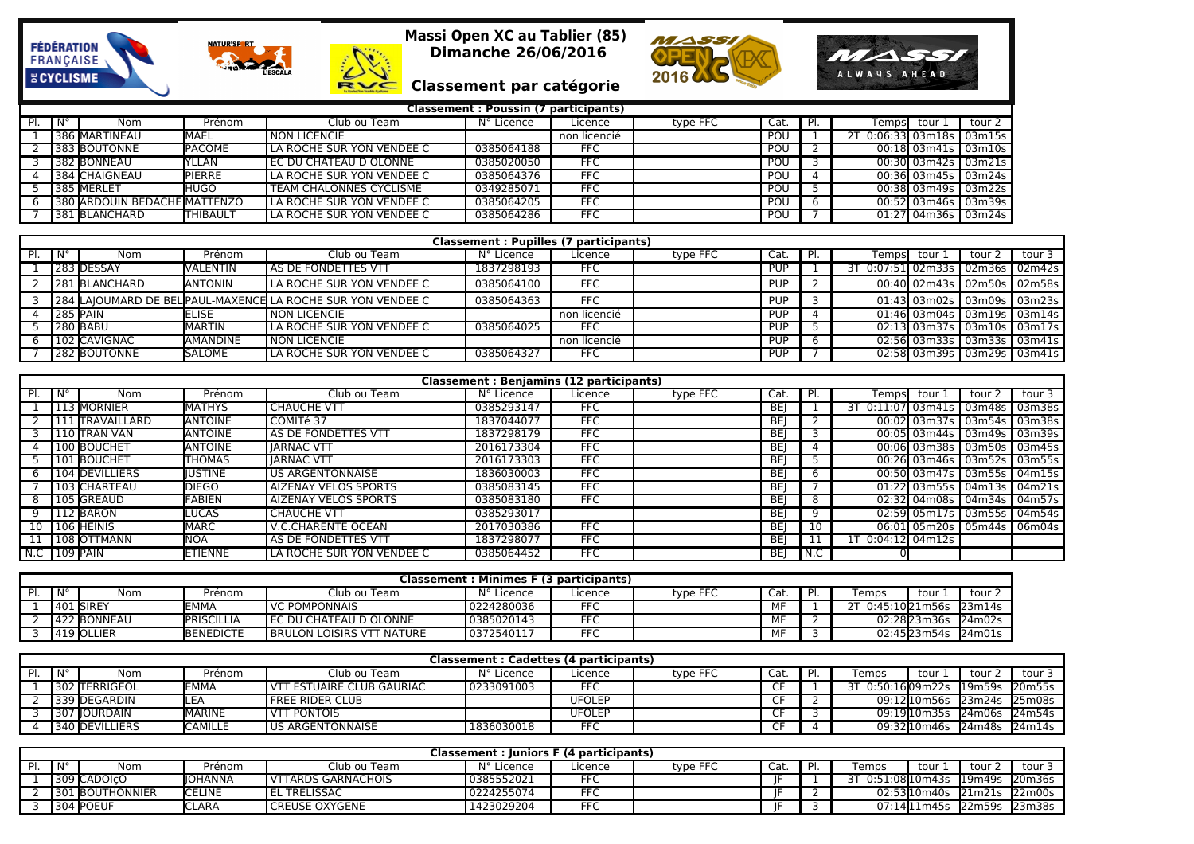







**MASSI** 

ALWAYS AHEAD

## **Classement par catégorie**

|     |                      |                              |                  |                                | Classement: Poussin (7 participants) |              |          |      |    |        |                     |                                       |
|-----|----------------------|------------------------------|------------------|--------------------------------|--------------------------------------|--------------|----------|------|----|--------|---------------------|---------------------------------------|
| PI. | $\mathbf{N}^{\circ}$ | Nom                          | Prénom           | Club ou Team                   | N° Licence                           | Licence      | type FFC | Cat. | PI | Tempsl | tour .              | tour 2                                |
|     |                      | 386 MARTINEAU                | <b>IMAEL</b>     | NON LICENCIE                   |                                      | non licencié |          | POU  |    |        |                     | $0.06:33$ 03m <sub>18s</sub>   03m15s |
|     |                      | 383 BOUTONNE                 | <b>PACOME</b>    | LA ROCHE SUR YON VENDEE C      | 0385064188                           | <b>FFC</b>   |          | POU  |    |        |                     | 00:18 03m41s 03m10s                   |
|     |                      | l 382 <b>I</b> BONNEAU       | <b>TELAN</b>     | I EC DU CHATEAU D OLONNE       | 0385020050                           | <b>FFC</b>   |          | POU  |    |        |                     | 00:30 03m42s 03m21s                   |
|     |                      | 384 CHAIGNEAU                | <b>IPIERRE</b>   | LA ROCHE SUR YON VENDEE C      | 0385064376                           | <b>FFC</b>   |          | POU  |    |        |                     | 00:36 03m45s 03m24s                   |
|     |                      | 385 MERLET                   | <b>HUGO</b>      | <b>TEAM CHALONNES CYCLISME</b> | 0349285071                           | <b>FFC</b>   |          | POU  |    |        |                     | 00:38 03m49s 03m22s                   |
|     |                      | 380 ARDOUIN BEDACHE MATTENZO |                  | LA ROCHE SUR YON VENDEE C      | 0385064205                           | <b>FFC</b>   |          | POU  |    |        | 00:52 03m46s 03m39s |                                       |
|     |                      | 1381 BLANCHARD               | <b>ITHIBAULT</b> | LA ROCHE SUR YON VENDEE C      | 0385064286                           | <b>FFC</b>   |          | POU  |    |        |                     | 01:27 04m36s 03m24s                   |

|     |                 |               |                   |                                                              | Classement: Pupilles (7 participants) |              |          |            |                                 |        |        |                              |
|-----|-----------------|---------------|-------------------|--------------------------------------------------------------|---------------------------------------|--------------|----------|------------|---------------------------------|--------|--------|------------------------------|
| PI. |                 | Nom           | Prénom            | Club ou Team                                                 | N° Licence                            | Licence      | type FFC | Cat.       | Tempsl                          | tour . | tour 2 | tour 3                       |
|     |                 | 283 DESSAY    | VALENTIN          | AS DE FONDETTES VTT                                          | 1837298193                            | <b>FFC</b>   |          | <b>PUP</b> | 3T 0:07:51 02m33s 02m36s 02m42s |        |        |                              |
|     |                 | 281 BLANCHARD | <b>JANTONIN</b>   | LA ROCHE SUR YON VENDEE C                                    | 0385064100                            | <b>FFC</b>   |          | <b>PUP</b> |                                 |        |        | 00:40 02m43s 02m50s 02m58s l |
|     |                 |               |                   | 284  LAJOUMARD DE BEL PAUL-MAXENCE LA ROCHE SUR YON VENDEE C | 0385064363                            | <b>FFC</b>   |          | <b>PUP</b> |                                 |        |        | 01:43 03m02s 03m09s 03m23s l |
|     | <b>285 PAIN</b> |               | IELISE            | NON LICENCIE                                                 |                                       | non licencié |          | <b>PUP</b> |                                 |        |        | 01:46 03m04s 03m19s 03m14s   |
|     |                 | 280 BABU      | IMARTIN           | LA ROCHE SUR YON VENDEE C                                    | 0385064025                            | <b>FFC</b>   |          | <b>PUP</b> |                                 |        |        | 02:13 03m37s 03m10s 03m17s   |
|     |                 | 102 CAVIGNAC  | <b>I</b> AMANDINE | NON LICENCIE                                                 |                                       | non licencié |          | <b>PUP</b> |                                 |        |        | 02:56 03m33s 03m33s 03m41s   |
|     |                 | 282 BOUTONNE  | <b>SALOME</b>     | LA ROCHE SUR YON VENDEE C                                    | 0385064327                            | <b>FFC</b>   |          | <b>PUP</b> |                                 |        |        | 02:58 03m39s 03m29s 03m41s   |

|                |                  |                  |                             | <b>Classement: Benjamins (12 participants)</b> |            |          |            |     |                                 |        |        |
|----------------|------------------|------------------|-----------------------------|------------------------------------------------|------------|----------|------------|-----|---------------------------------|--------|--------|
| PI.            | Nom              | Prénom           | Club ou Team                | N° Licence                                     | Licence    | type FFC | Cat.       |     | Temps tour 1                    | tour 2 | tour 3 |
|                | 113 MORNIER      | MATHYS           | <b>CHAUCHE VTT</b>          | 0385293147                                     | <b>FFC</b> |          | BEI        |     | 3T 0:11:07 03m41s 03m48s 03m38s |        |        |
|                | 1111 TRAVAILLARD | <b>ANTOINE</b>   | COMITé 37                   | 1837044077                                     | <b>FFC</b> |          | BEI        |     | 00:02 03m37s 03m54s 03m38s      |        |        |
|                | 110 TRAN VAN     | <b>ANTOINE</b>   | AS DE FONDETTES VTT         | 1837298179                                     | <b>FFC</b> |          | <b>BEI</b> |     | 00:05 03m44s 03m49s 03m39s      |        |        |
|                | 100 BOUCHET      | <b>I</b> ANTOINE | <b>IARNAC VTT</b>           | 2016173304                                     | <b>FFC</b> |          | BEI        |     | 00:06 03m38s 03m50s 03m45s      |        |        |
|                | 101 BOUCHET      | <b>THOMAS</b>    | <b>IARNAC VTT</b>           | 2016173303                                     | <b>FFC</b> |          | <b>BEI</b> |     | 00:26 03m46s 03m52s 03m55s      |        |        |
|                | 104 DEVILLIERS   | IUSTINE          | <b>US ARGENTONNAISE</b>     | 1836030003                                     | <b>FFC</b> |          | <b>BEI</b> | 6   | 00:50 03m47s 03m55s 04m15s      |        |        |
|                | 103 CHARTEAU     | <b>DIEGO</b>     | <b>AIZENAY VELOS SPORTS</b> | 0385083145                                     | <b>FFC</b> |          | BEI        |     | 01:22 03m55s 04m13s 04m21s      |        |        |
|                | 105 GREAUD       | <b>FABIEN</b>    | <b>AIZENAY VELOS SPORTS</b> | 0385083180                                     | <b>FFC</b> |          | <b>BEI</b> | 8   | 02:32 04m08s 04m34s 04m57s      |        |        |
|                | 112 BARON        | <b>LUCAS</b>     | <b>CHAUCHE VTT</b>          | 0385293017                                     |            |          | BEI        | q   | 02:59 05m17s 03m55s 04m54s      |        |        |
|                | 10 106 HEINIS    | <b>MARC</b>      | <b>V.C.CHARENTE OCEAN</b>   | 2017030386                                     | <b>FFC</b> |          | BEI        | 10  | 06:01 05m20s 05m44s 06m04s      |        |        |
|                | 108 OTTMANN      | <b>NOA</b>       | AS DE FONDETTES VTT         | 1837298077                                     | <b>FFC</b> |          | BEI        |     | 1T 0:04:12 04m12s l             |        |        |
| $N.C$ 109 PAIN |                  | ETIENNE          | LA ROCHE SUR YON VENDEE C   | 0385064452                                     | <b>FFC</b> |          | BEI        | N.C |                                 |        |        |

|             |                       |                   |                             | Classement: Minimes F (3 participants) |         |          |      |                            |             |        |
|-------------|-----------------------|-------------------|-----------------------------|----------------------------------------|---------|----------|------|----------------------------|-------------|--------|
| $N^{\circ}$ | Nom                   | Prénom            | Club ou Team                | N° Licence                             | Licence | type FFC | Cat. | Femps                      | tour        | tour . |
|             | 401 <b>I</b> SIREY    | ™MA⊤              | <b>VC POMPONNAIS</b>        | l 0224280036                           | FF(     |          | МF   | T 0:45:10 <b>l</b> 21m56s! |             | 23m14s |
|             | 422 BONNEAU           | <b>PRISCILLIA</b> | l EC DU CHATEAU D OLONNE    | 0385020143                             | $- -$   |          | MF   |                            | 02:2823m36s | 24m02s |
|             | l 419 <b>I</b> OLLIER | BENEDICTE         | I BRULON LOISIRS VTT NATURE | 0372540117                             | FFC.    |          | МF   |                            | 02:4523m54s | 24m01s |

|      |                |                |                             | Classement : Cadettes (4 participants) |               |          |      |    |                          |                      |         |               |
|------|----------------|----------------|-----------------------------|----------------------------------------|---------------|----------|------|----|--------------------------|----------------------|---------|---------------|
| l N° | Nom            | Prénom         | Club ou Team                | N° Licence                             | Licence       | type FFC | Cat. | ום | Temps                    | tour                 | tour    | tour          |
|      | 302 TERRIGEOL  | ЕММА           | I VTT ESTUAIRE CLUB GAURIAC | 0233091003                             |               |          | ~-   |    | 3T 0:50:1609m22s l19m59s |                      |         | 20m55s        |
|      | 339 DEGARDIN   | <b>ILEA</b>    | <b>FREE RIDER CLUB</b>      |                                        | <b>UFOLEP</b> |          |      |    |                          | 09:12l10m56s l23m24s |         | <b>25m08s</b> |
|      | 307   OURDAIN  | <b>IMARINE</b> | VTT PONTOIS                 |                                        | UFOLEP        |          |      |    |                          | 09:1910m35s 24m06s   |         | ≅ l24m54s     |
|      | 340 DEVILLIERS | <b>CAMILLE</b> | US ARGENTONNAISE            | 1836030018                             |               |          |      |    |                          | 09:3200m46s          | 124m48s | 24m14s        |

|    |                       |                 |               |                       | Classement : Juniors F (4 participants) |            |          |      |                  |                    |        |        |
|----|-----------------------|-----------------|---------------|-----------------------|-----------------------------------------|------------|----------|------|------------------|--------------------|--------|--------|
| DI | $\mathsf{IN}^{\circ}$ | Nom             | Prénom        | Club ou Team          | $N^{\circ}$ L<br>Licence                | Licence    | type FFC | Cat. | Temps            | tour               | tour   | tour . |
|    |                       | 309 CADOICO     | IIOHANNA      | I VTTARDS GARNACHOIS  | 10385552021                             | <b>FFC</b> |          |      | 0:51:08 10 m 43s |                    | 19m49s | 20m36s |
|    |                       | 301 BOUTHONNIER | <b>CELINE</b> | <b>EL TRELISSAC</b>   | 0224255074                              | <b>FFC</b> |          |      |                  | 02:5310m40s 21m21s |        | 22m00s |
|    |                       | 304 POEUF       | LARA          | <b>CREUSE OXYGENE</b> | 1423029204                              | <b>FFC</b> |          |      |                  | 07:14111m45s       | 22m59s | 23m38s |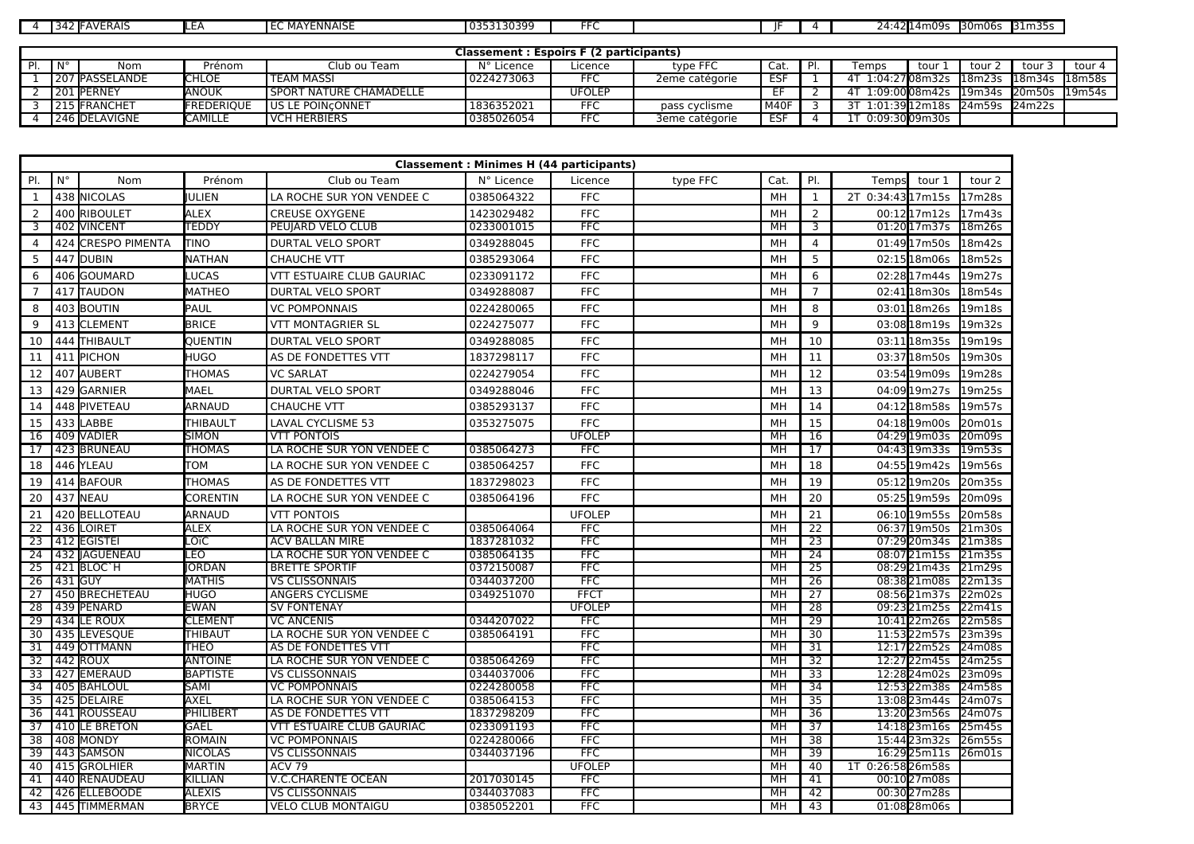| $\sim$ | <b>IFAVERAIS</b> | $H + D$<br>-- | MAYENNAISE | 5313039°<br>้กวะ | --<br>-- |  | - - -<br>$\sim$<br>) Л • Л<br>114m09<br>,,<br>-7.7411 | 30m06 | $\sim$ $\sim$ $\sim$<br>13.IM359<br>--- |
|--------|------------------|---------------|------------|------------------|----------|--|-------------------------------------------------------|-------|-----------------------------------------|

|             |                       |                    |                                | <b>Classement: Espoirs F (2 participants)</b> |               |                |            |     |       |                        |                      |               |        |
|-------------|-----------------------|--------------------|--------------------------------|-----------------------------------------------|---------------|----------------|------------|-----|-------|------------------------|----------------------|---------------|--------|
| $N^{\circ}$ | Nom                   | Prénom             | Club ou Team                   | N° Licence                                    | Licence       | type FFC       | Cat.       | PI. | Temps | tour 1                 | tour :               | tour 3        | tour 4 |
|             | <b>207 PASSELANDE</b> | <b>CHLOE</b>       | <b>TEAM MASSI</b>              | 0224273063                                    |               | 2eme catégorie | <b>ESF</b> |     |       | 1:04:27 <b>0</b> 8m32s | l18m23s              | 18m34s 18m58s |        |
|             | 201 PERNEY            | <b>ANOUK</b>       | <b>SPORT NATURE CHAMADELLE</b> |                                               | <b>UFOLEP</b> |                |            |     |       | 1:09:00 <b>0</b> 8m42s | 19m34s 20m50s 19m54s |               |        |
|             | 215 FRANCHET          | <b>IFREDERIOUE</b> | US LE POINCONNET               | 1836352021                                    | □FC           | pass cyclisme  | M40F       |     |       | 1:01:39 12 m 18s       | 124m59s              | 24m22s        |        |
|             | 246 DELAVIGNE         | <b>CAMILLE</b>     | VCH HERBIERS                   | 0385026054                                    | FFC           | 3eme catégorie | ESF        |     |       | 0:09:30l09m30s         |                      |               |        |

|                 |             |                       |                 |                           | <b>Classement: Minimes H (44 participants)</b> |               |          |      |                 |                      |                    |
|-----------------|-------------|-----------------------|-----------------|---------------------------|------------------------------------------------|---------------|----------|------|-----------------|----------------------|--------------------|
| PI.             | $N^{\circ}$ | Nom                   | Prénom          | Club ou Team              | N° Licence                                     | Licence       | type FFC | Cat. | PI.             | Temps<br>tour 1      | tour 2             |
| <sup>1</sup>    |             | 438 INICOLAS          | ULIEN           | LA ROCHE SUR YON VENDEE C | 0385064322                                     | <b>FFC</b>    |          | MН   | <sup>1</sup>    | 2T 0:34:4317m15s     | 17 <sub>m28s</sub> |
| 2               |             | 400 RIBOULET          | <b>ALEX</b>     | <b>CREUSE OXYGENE</b>     | 1423029482                                     | <b>FFC</b>    |          | MH   | $\overline{2}$  | 00:1217m12s          | 17 <sub>m43s</sub> |
| $\overline{3}$  |             | 402 VINCENT           | TEDDY           | PEUJARD VELO CLUB         | 0233001015                                     | <b>FFC</b>    |          | MH   | 3               | 01:2017m37s          | 18m26s             |
| $\overline{4}$  | 424         | <b>CRESPO PIMENTA</b> | TINO            | <b>DURTAL VELO SPORT</b>  | 0349288045                                     | <b>FFC</b>    |          | MH   | $\overline{4}$  | 01:4917m50s          | 18m42s             |
| 5               |             | 447 DUBIN             | NATHAN          | CHAUCHE VTT               | 0385293064                                     | <b>FFC</b>    |          | MH   | 5               | 02:1518m06s          | 18m52s             |
| 6               |             | 406 GOUMARD           | LUCAS           | VTT ESTUAIRE CLUB GAURIAC | 0233091172                                     | <b>FFC</b>    |          | MH   | 6               | 02:2817m44s          | 19m27s             |
| $\overline{7}$  |             | 417 TAUDON            | MATHEO          | DURTAL VELO SPORT         | 0349288087                                     | <b>FFC</b>    |          | МH   | $\overline{7}$  | 02:41 18 m 30s       | 18m54s             |
| 8               |             | 403 BOUTIN            | PAUL            | <b>VC POMPONNAIS</b>      | 0224280065                                     | <b>FFC</b>    |          | MH   | 8               | 03:01 18m26s         | 19m18s             |
| 9               |             | 413 CLEMENT           | <b>BRICE</b>    | <b>VTT MONTAGRIER SL</b>  | 0224275077                                     | <b>FFC</b>    |          | MH   | 9               | 03:0818m19s          | 19m32s             |
| 10              |             | 444 THIBAULT          | QUENTIN         | DURTAL VELO SPORT         | 0349288085                                     | <b>FFC</b>    |          | МH   | 10              | 03:11 <b>1</b> 8m35s | 19m19s             |
| 11              |             | 411 PICHON            | HUGO            | AS DE FONDETTES VTT       | 1837298117                                     | <b>FFC</b>    |          | MH   | 11              | 03:3718m50s          | 19m30s             |
| 12              |             | 407 AUBERT            | <b>THOMAS</b>   | <b>VC SARLAT</b>          | 0224279054                                     | <b>FFC</b>    |          | MH   | 12              | 03:5419m09s          | 19m28s             |
| 13              |             | 429 GARNIER           | MAEL            | <b>DURTAL VELO SPORT</b>  | 0349288046                                     | <b>FFC</b>    |          | MН   | 13              | 04:0919m27s          | 19m25s             |
| 14              |             | 448 PIVETEAU          | ARNAUD          | CHAUCHE VTT               | 0385293137                                     | <b>FFC</b>    |          | MH   | 14              | 04:1218m58s          | 19m57s             |
| 15              |             | 433 LABBE             | THIBAULT        | <b>LAVAL CYCLISME 53</b>  | 0353275075                                     | <b>FFC</b>    |          | MH   | 15              | 04:1819m00s          | 20 <sub>m01s</sub> |
| 16              |             | 409 NADIER            | <b>SIMON</b>    | <b>VTT PONTOIS</b>        |                                                | <b>UFOLEP</b> |          | MН   | 16              | 04:2919m03s          | 20m09s             |
| 17              |             | 423 BRUNEAU           | <b>THOMAS</b>   | LA ROCHE SUR YON VENDEE C | 0385064273                                     | <b>FFC</b>    |          | MH   | $\overline{17}$ | 04:43 19m33s         | 19m53s             |
| 18              |             | 446 YLEAU             | том             | LA ROCHE SUR YON VENDEE C | 0385064257                                     | <b>FFC</b>    |          | MН   | 18              | 04:55 19m42s         | 19m56s             |
| 19              |             | 414 BAFOUR            | THOMAS          | AS DE FONDETTES VTT       | 1837298023                                     | <b>FFC</b>    |          | MН   | 19              | 05:1219m20s          | 20m35s             |
| 20              |             | 437 NEAU              | CORENTIN        | LA ROCHE SUR YON VENDEE C | 0385064196                                     | <b>FFC</b>    |          | MH   | 20              | 05:25 19m59s         | 20m09s             |
| 21              |             | 420 BELLOTEAU         | ARNAUD          | <b>VTT PONTOIS</b>        |                                                | <b>UFOLEP</b> |          | MH   | 21              | 06:1019m55s          | 20m58s             |
| 22              |             | 436 LOIRET            | <b>ALEX</b>     | LA ROCHE SUR YON VENDEE C | 0385064064                                     | <b>FFC</b>    |          | MH   | 22              | 06:37 19 m 50s       | 21m30s             |
| $\overline{23}$ |             | 412 EGISTEI           | LOïC            | <b>ACV BALLAN MIRE</b>    | 1837281032                                     | <b>FFC</b>    |          | MН   | 23              | 07:2920m34s          | 21 <sub>m38s</sub> |
| $\overline{24}$ |             | 432   AGUENEAU        | LEO             | LA ROCHE SUR YON VENDEE C | 0385064135                                     | <b>FFC</b>    |          | MH   | $\overline{24}$ | 08:0721m15s          | 21m35s             |
| 25              |             | 421 BLOC'H            | ORDAN           | <b>BRETTE SPORTIF</b>     | 0372150087                                     | <b>FFC</b>    |          | MH   | 25              | 08:2921m43s          | 21m29s             |
| 26              |             | 431 GUY               | <b>MATHIS</b>   | <b>VS CLISSONNAIS</b>     | 0344037200                                     | <b>FFC</b>    |          | MH   | 26              | 08:3821m08s          | 22 <sub>m13s</sub> |
| 27              |             | 450 BRECHETEAU        | HUGO            | ANGERS CYCLISME           | 0349251070                                     | <b>FFCT</b>   |          | MH   | 27              | 08:5621m37s          | 122m02s            |
| $\overline{28}$ |             | 439 PENARD            | <b>EWAN</b>     | <b>SV FONTENAY</b>        |                                                | <b>UFOLEP</b> |          | MH   | 28              | 09:2321m25s          | 22 <sub>m41s</sub> |
| $\overline{29}$ |             | 434 LE ROUX           | <b>CLEMENT</b>  | <b>VC ANCENIS</b>         | 0344207022                                     | <b>FFC</b>    |          | MH   | $\overline{29}$ | 10:4122m26s          | 22m58s             |
| $\overline{30}$ |             | 435 LEVESQUE          | THIBAUT         | LA ROCHE SUR YON VENDEE C | 0385064191                                     | <b>FFC</b>    |          | MH   | $\overline{30}$ | 11:5322m57s          | 23m39s             |
| 31              |             | 449 OTTMANN           | THEO            | AS DE FONDETTES VTT       |                                                | <b>FFC</b>    |          | MН   | $\overline{31}$ | 12:1722m52s          | 24m08s             |
| $\overline{32}$ |             | 442 ROUX              | <b>ANTOINE</b>  | LA ROCHE SUR YON VENDEE C | 0385064269                                     | <b>FFC</b>    |          | MН   | $\overline{32}$ | 12:2722m45s          | 24m25s             |
| 33              |             | 427 EMERAUD           | <b>BAPTISTE</b> | <b>VS CLISSONNAIS</b>     | 0344037006                                     | <b>FFC</b>    |          | MH   | 33              | 12:2824m02s          | 23m09s             |
| $\overline{34}$ |             | 405 BAHLOUL           | SAMI            | <b>VC POMPONNAIS</b>      | 0224280058                                     | <b>FFC</b>    |          | MH   | 34              | 12:5322m38s          | 24m58s             |
| 35              |             | 425 DELAIRE           | AXEL            | LA ROCHE SUR YON VENDEE C | 0385064153                                     | <b>FFC</b>    |          | MН   | 35              | 13:0823m44s          | 24m07s             |
| 36              |             | 441 ROUSSEAU          | PHILIBERT       | AS DE FONDETTES VTT       | 1837298209                                     | <b>FFC</b>    |          | MН   | 36              | 13:2023m56s          | 24m07s             |
| $\overline{37}$ |             | 410 LE BRETON         | GAEL            | VTT ESTUAIRE CLUB GAURIAC | 0233091193                                     | <b>FFC</b>    |          | MН   | $\overline{37}$ | 14:1823m16s          | 25m45s             |
| $\overline{38}$ |             | 408 MONDY             | <b>ROMAIN</b>   | <b>VC POMPONNAIS</b>      | 0224280066                                     | <b>FFC</b>    |          | MH   | $\overline{38}$ | 15:4423m32s          | 26m55s             |
| $\overline{39}$ |             | 443 SAMSON            | <b>NICOLAS</b>  | <b>VS CLISSONNAIS</b>     | 0344037196                                     | <b>FFC</b>    |          | MН   | $\overline{39}$ | 16:2925m11s          | 26m01s             |
| 40              |             | 415 GROLHIER          | <b>MARTIN</b>   | <b>ACV 79</b>             |                                                | <b>UFOLEP</b> |          | MН   | 40              | 1T 0:26:5826m58s     |                    |
| 41              |             | 440 RENAUDEAU         | <b>KILLIAN</b>  | <b>V.C.CHARENTE OCEAN</b> | 2017030145                                     | <b>FFC</b>    |          | MH   | 41              | 00:1027m08s          |                    |
| 42              |             | 426 ELLEBOODE         | <b>ALEXIS</b>   | <b>VS CLISSONNAIS</b>     | 0344037083                                     | <b>FFC</b>    |          | MH   | 42              | 00:3027m28s          |                    |
| 43              |             | 445 TIMMERMAN         | <b>BRYCE</b>    | <b>VELO CLUB MONTAIGU</b> | 0385052201                                     | <b>FFC</b>    |          | MН   | 43              | 01:0828m06s          |                    |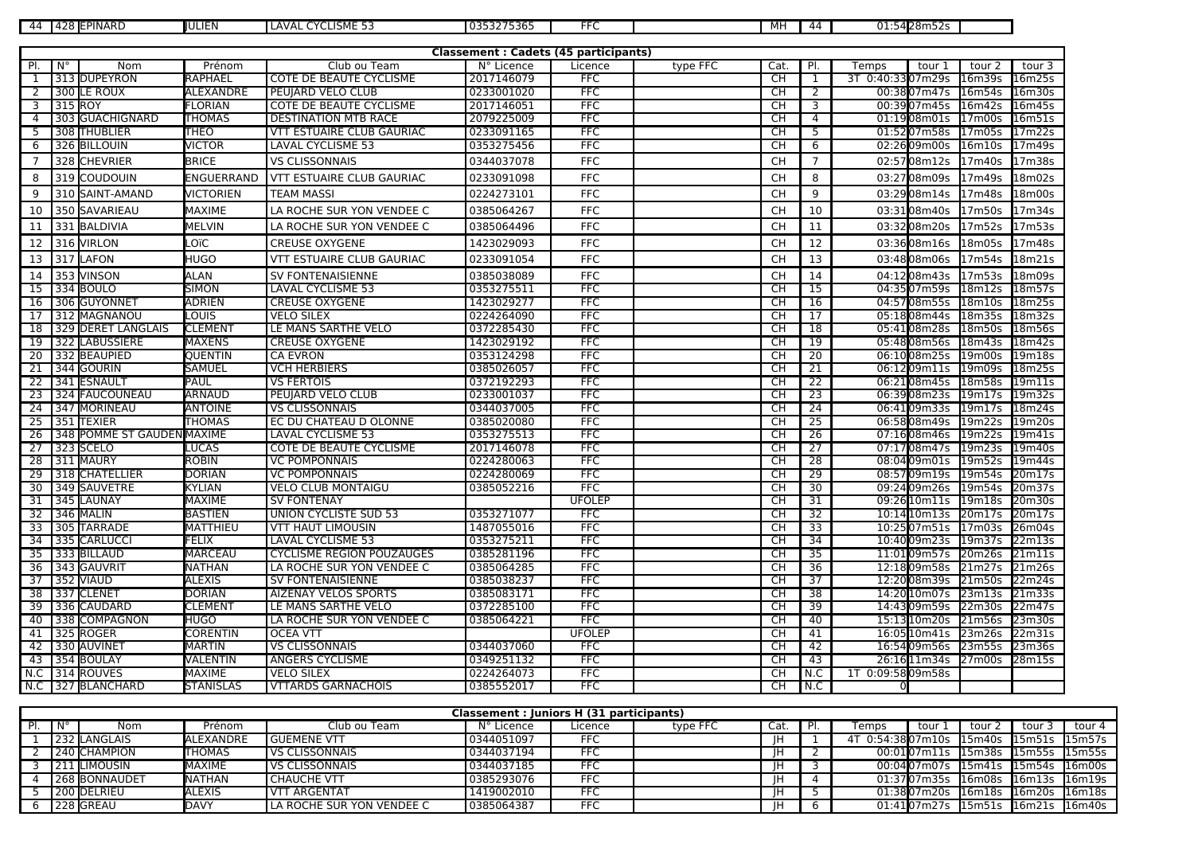| 111 | 100 L<br><b>IEPINARD</b><br>4<br>−∠∪ | <b>IIULIEN</b> | LISME 53:<br>$\sim$<br>LAVAI | 0353275365 | -- | MH | 44 | 01:5428m52s |  |
|-----|--------------------------------------|----------------|------------------------------|------------|----|----|----|-------------|--|

|                 |             |                            |                  |                                  | <b>Classement: Cadets (45 participants)</b> |               |          |           |                         |                    |                    |                    |
|-----------------|-------------|----------------------------|------------------|----------------------------------|---------------------------------------------|---------------|----------|-----------|-------------------------|--------------------|--------------------|--------------------|
| PI.             | $N^{\circ}$ | Nom                        | Prénom           | Club ou Team                     | N° Licence                                  | Licence       | type FFC | Cat.      | PI.                     | Temps<br>tour 1    | tour 2             | tour 3             |
| 1               |             | 313 DUPEYRON               | RAPHAEL          | COTE DE BEAUTE CYCLISME          | 2017146079                                  | <b>FFC</b>    |          | CH        | $\overline{1}$          | 3T 0:40:3307m29s   | 16m39s             | 16m25s             |
| $\overline{2}$  |             | 300 LE ROUX                | ALEXANDRE        | PEUJARD VELO CLUB                | 0233001020                                  | <b>FFC</b>    |          | CH        | $\overline{2}$          | 00:3807m47s        | 16m54s             | 16m30s             |
| $\overline{3}$  | 315 ROY     |                            | <b>FLORIAN</b>   | <b>COTE DE BEAUTE CYCLISME</b>   | 2017146051                                  | <b>FFC</b>    |          | CH        | $\overline{\mathbf{3}}$ | 00:3907m45s 16m42s |                    | 16m45s             |
| $\overline{4}$  |             | 303 GUACHIGNARD            | <b>THOMAS</b>    | <b>DESTINATION MTB RACE</b>      | 2079225009                                  | <b>FFC</b>    |          | CH        | $\overline{4}$          | 01:1908m01s        | 17m00s             | 16m51s             |
| 5               |             | 308 THUBLIER               | <b>THEO</b>      | <b>VTT ESTUAIRE CLUB GAURIAC</b> | 0233091165                                  | <b>FFC</b>    |          | СH        | 5                       | 01:5207m58s        | 17m05s             | 17m22s             |
| 6               |             | 326 BILLOUIN               | <b>VICTOR</b>    | LAVAL CYCLISME 53                | 0353275456                                  | <b>FFC</b>    |          | <b>CH</b> | 6                       | 02:2609m00s        | 16m10s             | 17m49s             |
| $\overline{7}$  |             | 328 CHEVRIER               | <b>BRICE</b>     | <b>VS CLISSONNAIS</b>            | 0344037078                                  | <b>FFC</b>    |          | <b>CH</b> | $\overline{7}$          | 02:5708m12s        | 17m40s             | 17m38s             |
| 8               |             | 319 COUDOUIN               | ENGUERRAND       | VTT ESTUAIRE CLUB GAURIAC        | 0233091098                                  | <b>FFC</b>    |          | <b>CH</b> | 8                       | 03:2708m09s        | 17m49s             | 18m02s             |
| 9               |             | 310 SAINT-AMAND            | <b>VICTORIEN</b> | <b>TEAM MASSI</b>                | 0224273101                                  | <b>FFC</b>    |          | <b>CH</b> | $\overline{9}$          | 03:2908m14s        | 17m48s             | 18m00s             |
| 10              |             | 350 SAVARIEAU              | MAXIME           | LA ROCHE SUR YON VENDEE C        | 0385064267                                  | <b>FFC</b>    |          | <b>CH</b> | 10                      | 03:3108m40s        | 17m50s             | 17m34s             |
| 11              |             | 331 BALDIVIA               | MELVIN           | LA ROCHE SUR YON VENDEE C        | 0385064496                                  | <b>FFC</b>    |          | <b>CH</b> | 11                      | 03:3208m20s        | 17m52s             | 17m53s             |
| 12              |             | 316 VIRLON                 | LOïC             | <b>CREUSE OXYGENE</b>            | 1423029093                                  | <b>FFC</b>    |          | <b>CH</b> | 12                      | 03:3608m16s        | 18m05s             | 17m48s             |
| 13              |             | 317 LAFON                  | <b>HUGO</b>      | VTT ESTUAIRE CLUB GAURIAC        | 0233091054                                  | <b>FFC</b>    |          | <b>CH</b> | 13                      | 03:4808m06s        | 17m54s             | 18m21s             |
| 14              |             | 353 VINSON                 | ALAN             | SV FONTENAISIENNE                | 0385038089                                  | <b>FFC</b>    |          | <b>CH</b> | 14                      | 04:1208m43s        | 17m53s             | 18m09s             |
| 15              |             | 334 BOULO                  | <b>SIMON</b>     | <b>LAVAL CYCLISME 53</b>         | 0353275511                                  | <b>FFC</b>    |          | <b>CH</b> | 15                      | 04:3507m59s        | 18m12s             | 18m57s             |
| $\overline{16}$ |             | 306 GUYONNET               | <b>ADRIEN</b>    | <b>CREUSE OXYGENE</b>            | 1423029277                                  | <b>FFC</b>    |          | CH        | $\overline{16}$         | 04:5708m55s        | 18m10s             | 18m25s             |
| 17              |             | 312 MAGNANOU               | LOUIS            | <b>VELO SILEX</b>                | 0224264090                                  | <b>FFC</b>    |          | <b>CH</b> | 17                      | 05:1808m44s        | 18m35s             | 18m32s             |
| $\overline{18}$ |             | 329 DERET LANGLAIS         | <b>CLEMENT</b>   | LE MANS SARTHE VELO              | 0372285430                                  | <b>FFC</b>    |          | CH        | $\overline{18}$         | 05:4108m28s        | 18m50s             | 18m56s             |
| $\overline{19}$ |             | 322 LABUSSIERE             | <b>MAXENS</b>    | <b>CREUSE OXYGENE</b>            | 1423029192                                  | <b>FFC</b>    |          | CH        | 19                      | 05:4808m56s        | 18m43s             | 18m42s             |
| $\overline{20}$ |             | 332 BEAUPIED               | <b>QUENTIN</b>   | <b>CA EVRON</b>                  | 0353124298                                  | <b>FFC</b>    |          | CH        | $\overline{20}$         | 06:1008m25s        | 19m00s             | 19m18s             |
| 21              |             | 344 GOURIN                 | SAMUEL           | <b>VCH HERBIERS</b>              | 0385026057                                  | <b>FFC</b>    |          | <b>CH</b> | 21                      | 06:1209m11s        | 19m09s             | 18m25s             |
| $\overline{22}$ |             | 341 ESNAULT                | <b>PAUL</b>      | <b>VS FERTOIS</b>                | 0372192293                                  | <b>FFC</b>    |          | <b>CH</b> | $\overline{22}$         | 06:2108m45s        | 18m58s             | 19m11s             |
| 23              |             | 324 FAUCOUNEAU             | ARNAUD           | PEUJARD VELO CLUB                | 0233001037                                  | <b>FFC</b>    |          | <b>CH</b> | 23                      | 06:3908m23s        | 19m17s             | 19m32s             |
| 24              |             | 347 MORINEAU               | <b>ANTOINE</b>   | <b>VS CLISSONNAIS</b>            | 0344037005                                  | <b>FFC</b>    |          | CH        | $\overline{24}$         | 06:4109m33s        | 19 <sub>m17s</sub> | 18m24s             |
| 25              |             | 351 TEXIER                 | THOMAS           | EC DU CHATEAU D OLONNE           | 0385020080                                  | <b>FFC</b>    |          | CH        | 25                      | 06:5808m49s        | 19m22s             | 19m20s             |
| 26              |             | 348 POMME ST GAUDEN MAXIME |                  | <b>LAVAL CYCLISME 53</b>         | 0353275513                                  | <b>FFC</b>    |          | CH        | 26                      | 07:1608m46s        | 19m22s             | 19m41s             |
| $\overline{27}$ |             | 323 SCELO                  | <b>LUCAS</b>     | COTE DE BEAUTE CYCLISME          | 2017146078                                  | <b>FFC</b>    |          | CH        | $\overline{27}$         | 07:1708m47s        | 19m23s             | 19m40s             |
| 28              |             | 311 MAURY                  | ROBIN            | <b>VC POMPONNAIS</b>             | 0224280063                                  | <b>FFC</b>    |          | CH        | $\overline{28}$         | 08:04 09 m01s      | 19 <sub>m52s</sub> | 19m44s             |
| $\overline{29}$ |             | 318 CHATELLIER             | <b>DORIAN</b>    | <b>VC POMPONNAIS</b>             | 0224280069                                  | <b>FFC</b>    |          | CH        | $\overline{29}$         | 08:5709m19s        | 19m54s             | 20m17s             |
| 30              |             | 349 SAUVETRE               | KYLIAN           | <b>VELO CLUB MONTAIGU</b>        | 0385052216                                  | <b>FFC</b>    |          | <b>CH</b> | $\overline{30}$         | 09:2409m26s        | 19m54s             | 20m37s             |
| $\overline{31}$ |             | 345 LAUNAY                 | <b>MAXIME</b>    | <b>SV FONTENAY</b>               |                                             | <b>UFOLEP</b> |          | <b>CH</b> | $\overline{31}$         | 09:26 10m11s       | 19m18s             | 20m30s             |
| $\overline{32}$ |             | 346 MALIN                  | <b>BASTIEN</b>   | <b>UNION CYCLISTE SUD 53</b>     | 0353271077                                  | <b>FFC</b>    |          | <b>CH</b> | $\overline{32}$         | 10:14 10 m 13s     | 20m17s             | 20m17s             |
| 33              |             | 305 TARRADE                | MATTHIEU         | <b>VTT HAUT LIMOUSIN</b>         | 1487055016                                  | <b>FFC</b>    |          | <b>CH</b> | $\overline{33}$         | 10:2507m51s        | 17m03s             | 26m04s             |
| $\overline{34}$ |             | 335 CARLUCCI               | <b>FELIX</b>     | <b>LAVAL CYCLISME 53</b>         | 0353275211                                  | <b>FFC</b>    |          | CH        | 34                      | 10:4009m23s        | 19 <sub>m37s</sub> | 22m13s             |
| $\overline{35}$ |             | 333 BILLAUD                | <b>MARCEAU</b>   | <b>CYCLISME REGION POUZAUGES</b> | 0385281196                                  | <b>FFC</b>    |          | CH        | $\overline{35}$         | 11:01 09m57s       | 20m26s             | 21m11s             |
| 36              |             | 343 GAUVRIT                | <b>NATHAN</b>    | LA ROCHE SUR YON VENDEE C        | 0385064285                                  | <b>FFC</b>    |          | CH        | 36                      | 12:1809m58s        | 21m27s             | 21m26s             |
| $\overline{37}$ |             | 352 VIAUD                  | <b>ALEXIS</b>    | <b>SV FONTENAISIENNE</b>         | 0385038237                                  | <b>FFC</b>    |          | CH        | $\overline{37}$         | 12:2008m39s        | 21m50s             | 22m24s             |
| $\overline{38}$ |             | 337 CLENET                 | <b>DORIAN</b>    | <b>AIZENAY VELOS SPORTS</b>      | 0385083171                                  | <b>FFC</b>    |          | CH        | $\overline{38}$         | 14:20 10m07s       | 23m13s             | 21 <sub>m33s</sub> |
| $\overline{39}$ | 336         | <b>CAUDARD</b>             | <b>CLEMENT</b>   | LE MANS SARTHE VELO              | 0372285100                                  | <b>FFC</b>    |          | CH        | $\overline{39}$         | 14:4309m59s        | 22 <sub>m30s</sub> | 22m47s             |
| 40              |             | 338 COMPAGNON              | <b>HUGO</b>      | LA ROCHE SUR YON VENDEE C        | 0385064221                                  | <b>FFC</b>    |          | CH        | 40                      | 15:1310m20s        | 21m56s             | 23m30s             |
| 41              |             | 325 ROGER                  | <b>CORENTIN</b>  | <b>OCEA VTT</b>                  |                                             | <b>UFOLEP</b> |          | <b>CH</b> | 41                      | 16:05 10 m 41s     | 23m26s             | 22m31s             |
| 42              |             | 330 AUVINET                | <b>MARTIN</b>    | <b>VS CLISSONNAIS</b>            | 0344037060                                  | <b>FFC</b>    |          | <b>CH</b> | 42                      | 16:54 09m56s       | 23m55s             | 23m36s             |
| 43              |             | 354 BOULAY                 | IVALENTIN        | ANGERS CYCLISME                  | 0349251132                                  | <b>FFC</b>    |          | <b>CH</b> | 43                      | 26:1611m34s        | 27m00s             | 28m15s             |
| N.C             |             | 314 ROUVES                 | <b>MAXIME</b>    | <b>VELO SILEX</b>                | 0224264073                                  | <b>FFC</b>    |          | CH        | N.C                     | 1T 0:09:5809m58s   |                    |                    |
| N.C             |             | 327 BLANCHARD              | <b>STANISLAS</b> | <b>VTTARDS GARNACHOIS</b>        | 0385552017                                  | <b>FFC</b>    |          | CH        | N.C                     |                    |                    |                    |

|     | Classement : Juniors H (31 participants) |                       |                |                           |            |            |          |      |     |                                       |      |                                     |        |        |
|-----|------------------------------------------|-----------------------|----------------|---------------------------|------------|------------|----------|------|-----|---------------------------------------|------|-------------------------------------|--------|--------|
| PI. | $\mathsf{IN}^{\mathsf{c}}$               | Nom                   | Prénom         | Club ou Team              | N° Licence | Licence    | type FFC | Cat. | PI. | Temps                                 | tour | tour 2                              | tour 3 | tour 4 |
|     |                                          | 232 ILANGLAIS         | ALEXANDRE      | <b>GUEMENE VTT</b>        | 0344051097 | FFC        |          |      |     | 4T 0:54:3807m10s 15m40s 15m51s 15m57s |      |                                     |        |        |
|     |                                          | 240 CHAMPION          | <b>THOMAS</b>  | <b>VS CLISSONNAIS</b>     | 0344037194 | <b>FFC</b> |          |      |     |                                       |      | 00:0107m11s 115m38s 115m55s 115m55s |        |        |
|     |                                          | 1211 ILIMOUSIN        | <b>IMAXIME</b> | <b>VS CLISSONNAIS</b>     | 0344037185 | <b>FFC</b> |          |      |     |                                       |      | 00:04 07m07s 15m41s 15m54s 16m00s   |        |        |
|     |                                          | <b>1268 BONNAUDET</b> | <b>INATHAN</b> | <b>CHAUCHE VTT</b>        | 0385293076 | <b>FFC</b> |          |      |     |                                       |      | 01:3707m35s 16m08s 16m13s 16m19s    |        |        |
|     |                                          | 200 DELRIEU           | <b>ALEXIS</b>  | <b>VTT ARGENTAT</b>       | 1419002010 | <b>FFC</b> |          |      |     |                                       |      | 01:3807m20s 16m18s 16m20s 16m18s    |        |        |
|     |                                          | 228 GREAU             | DAVY           | LA ROCHE SUR YON VENDEE C | 0385064387 | FFC        |          |      |     |                                       |      | 01:4107m27s 15m51s 16m21s 16m40s    |        |        |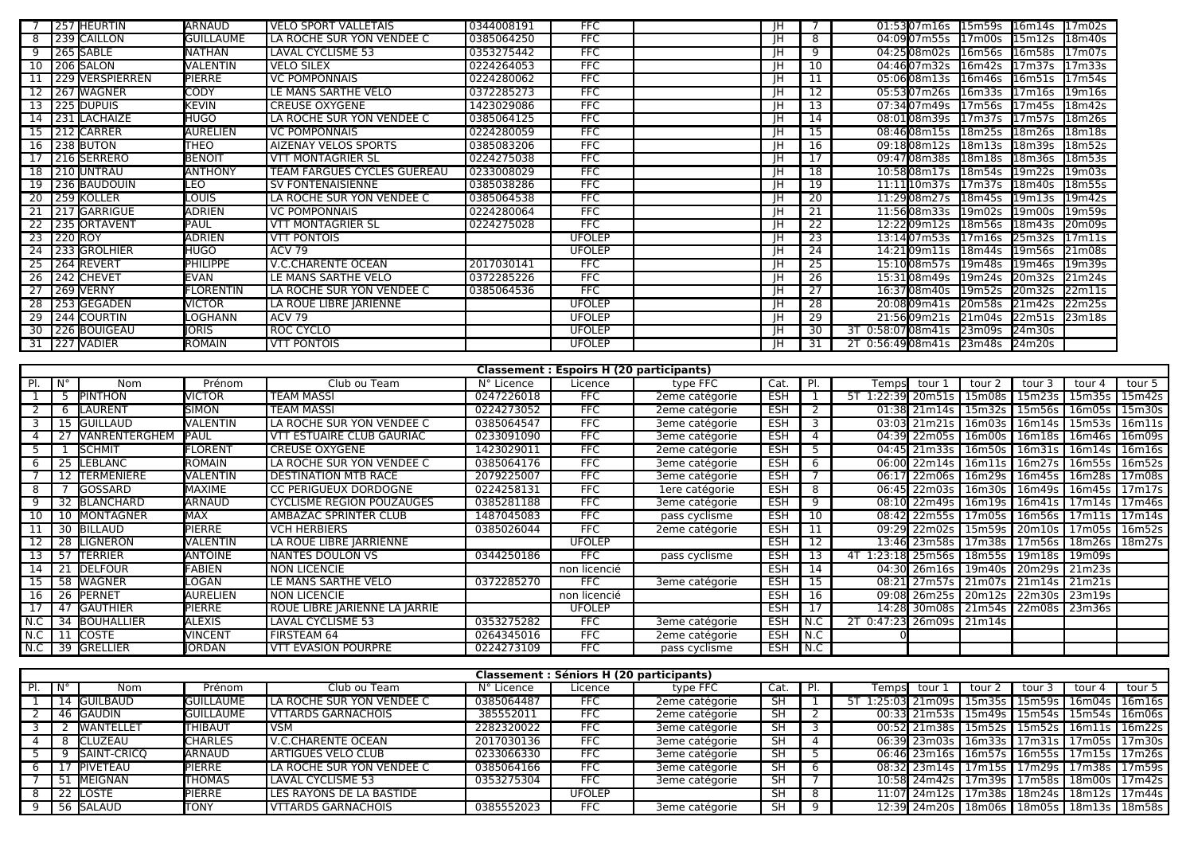|    | 257 HEURTIN     | ARNAUD             | <b>VELO SPORT VALLETAIS</b>        | 0344008191 | <b>FFC</b>    | ΙH        |    | 01:5307m16s 15m59s 16m14s 17m02s                                   |
|----|-----------------|--------------------|------------------------------------|------------|---------------|-----------|----|--------------------------------------------------------------------|
|    | 8 239 CAILLON   | <b>GUILLAUME</b>   | LA ROCHE SUR YON VENDEE C          | 0385064250 | <b>FFC</b>    | ΙH        | 8  | 04:0907m55s 17m00s 15m12s 18m40s                                   |
|    | 9 265 SABLE     | <b>NATHAN</b>      | LAVAL CYCLISME 53                  | 0353275442 | <b>FFC</b>    | ΙH        | 9  | 04:2508m02s 16m56s 16m58s 17m07s                                   |
|    | 10 206 SALON    | <b>VALENTIN</b>    | <b>VELO SILEX</b>                  | 0224264053 | <b>FFC</b>    | ΙH        | 10 | 04:4607m32s 16m42s 17m37s 17m33s                                   |
|    | 229 VERSPIERREN | <b>PIERRE</b>      | <b>VC POMPONNAIS</b>               | 0224280062 | <b>FFC</b>    | ΙH        |    | 05:0608m13s 16m46s 16m51s 17m54s                                   |
|    | 12 267 WAGNER   | <b>CODY</b>        | LE MANS SARTHE VELO                | 0372285273 | <b>FFC</b>    | ΙH        | 12 | 05:5307m26s 16m33s 17m16s<br>19 <sub>m16s</sub>                    |
|    | 13 225 DUPUIS   | <b>KEVIN</b>       | <b>CREUSE OXYGENE</b>              | 1423029086 | <b>FFC</b>    | ΙH        | 13 | 07:3407m49s 17m56s 17m45s<br>18 <sub>m42s</sub>                    |
|    | 14 231 LACHAIZE | <b>HUGO</b>        | LA ROCHE SUR YON VENDEE C          | 0385064125 | <b>FFC</b>    | ΙH        | 14 | 08:0108m39s 17m37s 17m57s 18m26s                                   |
|    | 15 212 CARRER   | <b>AURELIEN</b>    | <b>VC POMPONNAIS</b>               | 0224280059 | <b>FFC</b>    |           | 15 | 08:4608m15s 18m25s 18m26s<br>18m18s                                |
|    | 16 238 BUTON    | <b>THEO</b>        | <b>AIZENAY VELOS SPORTS</b>        | 0385083206 | <b>FFC</b>    | ΙH        | 16 | 09:1808m12s 18m13s 18m39s<br>18m52s                                |
| 17 | 216 SERRERO     | <b>BENOIT</b>      | <b>VTT MONTAGRIER SL</b>           | 0224275038 | <b>FFC</b>    | IH        | 17 | 09:4708m38s 18m18s 18m36s<br>18m53s                                |
|    | 18 210 UNTRAU   | <b>ANTHONY</b>     | <b>TEAM FARGUES CYCLES GUEREAU</b> | 0233008029 | <b>FFC</b>    | ΙH        | 18 | 10:5808m17s 18m54s 19m22s<br>19m03s                                |
|    | 19 236 BAUDOUIN | <b>LEO</b>         | <b>SV FONTENAISIENNE</b>           | 0385038286 | <b>FFC</b>    | <b>IH</b> | 19 | 11:11 10 m 37s 17 m 37s 18 m 40s<br>18m55s                         |
|    | 20 259 KOLLER   | <b>LOUIS</b>       | LA ROCHE SUR YON VENDEE C          | 0385064538 | <b>FFC</b>    | ΙH        | 20 | 11:2908m27s 18m45s 19m13s<br>19m42s                                |
|    | 21 217 GARRIGUE | ADRIEN             | <b>VC POMPONNAIS</b>               | 0224280064 | <b>FFC</b>    | ΙH        | 21 | 11:5608m33s<br>19m02s<br>19 <sub>m</sub> 00 <sub>s</sub><br>19m59s |
|    | 22 235 ORTAVENT | PAUL               | <b>VTT MONTAGRIER SL</b>           | 0224275028 | <b>FFC</b>    | ΙH        | 22 | 12:2209m12s<br>20m09s<br>18m56s<br>18 <sub>m43s</sub>              |
|    | 23 220 ROY      | ADRIEN             | <b>VTT PONTOIS</b>                 |            | <b>UFOLEP</b> | ΙH        | 23 | 13:1407m53s<br>17 <sub>m11s</sub><br>17m16s<br>25m32s              |
|    | 24 233 GROLHIER | HUGO               | <b>ACV 79</b>                      |            | <b>UFOLEP</b> | ΙH        | 24 | 14:2109ml1s 18m44s<br>19m56s<br>21m08s                             |
|    | 25 264 REVERT   | PHILIPPE           | <b>V.C.CHARENTE OCEAN</b>          | 2017030141 | <b>FFC</b>    | ΙH        | 25 | 15:1008m57s 19m48s<br>19m39s<br>19m46s                             |
|    | 26 242 CHEVET   | EVAN               | LE MANS SARTHE VELO                | 0372285226 | <b>FFC</b>    | ΙH        | 26 | 15:3108m49s 19m24s 20m32s<br>21m24s                                |
|    | 27 269 VERNY    | <b>I</b> FLORENTIN | LA ROCHE SUR YON VENDEE C          | 0385064536 | <b>FFC</b>    | ΙH        | 27 | 16:37 <b>08</b> m40s<br>19m52s 20m32s<br>22m11s                    |
|    | 28 253 GEGADEN  | <b>NICTOR</b>      | LA ROUE LIBRE JARIENNE             |            | <b>UFOLEP</b> | ΙH        | 28 | 20:0809 m41s 20 m58s 21 m42s 22 m25s                               |
|    | 29 244 COURTIN  | LOGHANN            | ACV 79                             |            | <b>UFOLEP</b> | ΙH        | 29 | 21:5609m21s 21m04s 22m51s 23m18s                                   |
|    | 30 226 BOUIGEAU | <b>JORIS</b>       | ROC CYCLO                          |            | <b>UFOLEP</b> | ΙH        | 30 | 3T 0:58:07 08m41s 23m09s 24m30s                                    |
|    | 31 227 VADIER   | <b>ROMAIN</b>      | <b>VTT PONTOIS</b>                 |            | <b>UFOLEP</b> | ΙH        | 31 | 2T 0:56:4908m41s 23m48s 24m20s                                     |

|     | <b>Classement: Espoirs H (20 participants)</b> |                      |                 |                                  |            |               |                |            |       |                                           |                |                                         |                 |                    |        |
|-----|------------------------------------------------|----------------------|-----------------|----------------------------------|------------|---------------|----------------|------------|-------|-------------------------------------------|----------------|-----------------------------------------|-----------------|--------------------|--------|
|     | N°                                             | Nom                  | Prénom          | Club ou Team                     | N° Licence | Licence       | type FFC       | Cat.       |       | Tempsl                                    | tour 1         | tour                                    | tour            | tour 4             | tour 5 |
|     |                                                | <b>IPINTHON</b>      | <b>VICTOR</b>   | <b>TEAM MASSI</b>                | 0247226018 | <b>FFC</b>    | 2eme catégorie | <b>ESH</b> |       | 1:22:39 20m51s l                          |                | 15m08s                                  | 15m23s          | 15 <sub>m35s</sub> | 15m42s |
|     | 6                                              | <b>ILAURENT</b>      | <b>I</b> SIMON  | <b>TEAM MASSI</b>                | 0224273052 | <b>FFC</b>    | 2eme catégorie | <b>ESH</b> |       |                                           | 01:38 21m14s   | 15m32s                                  | 15m56s 16m05s   |                    | 15m30s |
|     |                                                | 15 <b> </b> GUILLAUD | VALENTIN        | LA ROCHE SUR YON VENDEE C        | 0385064547 | <b>FFC</b>    | 3eme catégorie | <b>ESH</b> |       |                                           | 03:03 21m21s   | 16m03s                                  | 16m14s   15m53s |                    | 16m11s |
|     |                                                | <b>NANRENTERGHEM</b> | PAUL            | VTT ESTUAIRE CLUB GAURIAC        | 0233091090 | <b>FFC</b>    | 3eme catégorie | <b>ESH</b> |       |                                           | 04:39 22m05s   | 16m00s                                  | 16m18s          | 16m46s             | 16m09s |
|     |                                                | <b>I</b> SCHMIT      | FLORENT         | <b>CREUSE OXYGENE</b>            | 1423029011 | <b>FFC</b>    | 2eme catégorie | <b>ESH</b> |       |                                           | 04:45 21m33s l | 16m50s                                  | 16m31s   16m14s |                    | 16m16s |
|     | 25                                             | <b>ILEBLANC</b>      | <b>I</b> ROMAIN | LA ROCHE SUR YON VENDEE C        | 0385064176 | <b>FFC</b>    | 3eme catégorie | <b>ESH</b> | 6     |                                           | 06:00 22m14s   | 16m11s   16m27s   16m55s                |                 |                    | 16m52s |
|     |                                                | <b>TERMENIERE</b>    | VALENTIN        | <b>DESTINATION MTB RACE</b>      | 2079225007 | <b>FFC</b>    | 3eme catégorie | <b>ESH</b> |       |                                           | 06:17 22m06s   | 16m29s                                  | 16m45s 16m28s   |                    | 17m08s |
|     |                                                | <b>IGOSSARD</b>      | MAXIME          | <b>CC PERIGUEUX DORDOGNE</b>     | 0224258131 | <b>FFC</b>    | 1ere catégorie | <b>ESH</b> | 8     |                                           | 06:45 22m03s   | 16m30s                                  | 16m49s   16m45s |                    | 17m17s |
|     |                                                | 32 BLANCHARD         | ARNAUD          | <b>CYCLISME REGION POUZAUGES</b> | 0385281188 | <b>FFC</b>    | 3eme catégorie | <b>ESH</b> | q     |                                           |                | 08:10 22m49s   16m19s   16m41s   17m14s |                 |                    | 17m46s |
|     |                                                | 10 MONTAGNER         | <b>MAX</b>      | AMBAZAC SPRINTER CLUB            | 1487045083 | <b>FFC</b>    | pass cyclisme  | <b>ESH</b> | 10    |                                           |                | 08:42 22m55s 17m05s 1                   | 16m56s   17m11s |                    | 17m14s |
|     |                                                | 30 BILLAUD           | <b>PIERRE</b>   | <b>VCH HERBIERS</b>              | 0385026044 | <b>FFC</b>    | 2eme catégorie | <b>ESH</b> |       |                                           | 09:29 22m02s   | 15m59s                                  | 20m10s          | 17m05s             | 16m52s |
|     |                                                | 28 ILIGNERON         | <b>NALENTIN</b> | LA ROUE LIBRE IARRIENNE          |            | <b>UFOLEP</b> |                | <b>ESH</b> |       |                                           | 13:46 23m58s l | 17m38s                                  | 17m56s   18m26s |                    | 18m27s |
| 13  | -57                                            | <b>TERRIER</b>       | ANTOINE         | <b>NANTES DOULON VS</b>          | 0344250186 | <b>FFC</b>    | pass cyclisme  | <b>ESH</b> |       | 1:23:18 25m56s   18m55s   19m18s   19m09s |                |                                         |                 |                    |        |
| 14  | 21                                             | <b>IDELFOUR</b>      | FABIEN          | <b>NON LICENCIE</b>              |            | non licencié  |                | <b>ESH</b> | 14    |                                           | 04:30 26m16s I | 19m40s                                  | 20m29s 21m23s   |                    |        |
|     |                                                | 58 WAGNER            | LOGAN           | LE MANS SARTHE VELO              | 0372285270 | <b>FFC</b>    | 3eme catégorie | <b>ESH</b> |       |                                           |                | 08:21 27m57s 21m07s                     | 21m14s 21m21s   |                    |        |
| 16  |                                                | 26 PERNET            | AURELIEN        | <b>NON LICENCIE</b>              |            | non licencié  |                | <b>ESH</b> | 16    |                                           | 09:08 26m25s   | 20m12s                                  | 22m30s          | 23m19s             |        |
|     | 47                                             | <b>I</b> GAUTHIER    | PIERRE          | ROUE LIBRE JARIENNE LA JARRIE    |            | <b>UFOLEP</b> |                | ESH        |       |                                           | 14:28 30m08s l | 21m54s 22m08s 23m36s                    |                 |                    |        |
|     | -34                                            | <b>BOUHALLIER</b>    | <b>ALEXIS</b>   | LAVAL CYCLISME 53                | 0353275282 | <b>FFC</b>    | 3eme catégorie | <b>ESH</b> | N.C   | 0:47:23 26m09s 21m14s                     |                |                                         |                 |                    |        |
| N.C |                                                | <b>COSTE</b>         | VINCENT         | FIRSTEAM 64                      | 0264345016 | <b>FFC</b>    | 2eme catégorie | <b>ESH</b> | N.C   |                                           |                |                                         |                 |                    |        |
| N.C |                                                | 39 GRELLIER          | <b>JORDAN</b>   | <b>VTT EVASION POURPRE</b>       | 0224273109 | <b>FFC</b>    | pass cyclisme  | <b>ESH</b> | l N.C |                                           |                |                                         |                 |                    |        |

| Classement : Séniors H (20 participants) |                     |                  |                                  |            |               |                |           |  |                                         |                          |                           |        |          |
|------------------------------------------|---------------------|------------------|----------------------------------|------------|---------------|----------------|-----------|--|-----------------------------------------|--------------------------|---------------------------|--------|----------|
| Ν°                                       | Nom                 | Prénom           | Club ou Team                     | N° Licence | Licence       | type FFC       | Cat.      |  | Tempsl<br>tour                          | tour                     | tour                      | tour 4 | tour 5   |
|                                          | <b>14 IGUILBAUD</b> | <b>GUILLAUME</b> | LA ROCHE SUR YON VENDEE C        | 0385064487 | <b>FFC</b>    | 2eme catégorie | <b>SH</b> |  | 1:25:03l 21m09s l                       | 15m35s                   | 15m59s   16m04s           |        | 16m16s   |
|                                          | 46 GAUDIN           | <b>GUILLAUME</b> | <b>VITARDS GARNACHOIS</b>        | 385552011  | <b>FFC</b>    | 2eme catégorie | <b>SH</b> |  | $00:33$ 21m53s                          | 15m49s   15m54s   15m54s |                           |        | 16m06s   |
|                                          | <b>WANTELLET</b>    | THIBAUT          | <b>VSM</b>                       | 2282320022 | <b>FFC</b>    | 3eme catégorie | SH        |  | 00:52 21m38s   15m52s   15m52s   16m11s |                          |                           |        | 16m22s   |
|                                          | CLUZEAU             | <b>CHARLES</b>   | V.C.CHARENTE OCEAN               | 2017030136 |               | 3eme catégorie | SH        |  | 06:39 23m03s                            | 16m33s 17m31s 17m05s     |                           |        | 17m30s   |
|                                          | <b>SAINT-CRICO</b>  | <b>ARNAUD</b>    | <b>ARTIGUES VELO CLUB</b>        | 0233066330 | <b>FFC</b>    | 3eme catégorie | SH        |  | 06:46 23m16s   16m57s   16m55s   17m15s |                          |                           |        | 17m26s l |
|                                          | <b>IPIVETEAU</b>    | PIERRE           | <b>LA ROCHE SUR YON VENDEE C</b> | 0385064166 | <b>FFC</b>    | 3eme catégorie | SH        |  | 08:32 23m14s   17m15s   17m29s   17m38s |                          |                           |        | 17m59s l |
| 51                                       | . <b>I</b> MEIGNAN  | <b>THOMAS</b>    | LAVAL CYCLISME 53                | 0353275304 | <b>FFC</b>    | 3eme catégorie | SH        |  | 10:58 24m42s l                          |                          | ⊥17m39s l 17m58s l 18m00s |        | 17m42s l |
|                                          | 22 LOSTE            | <b>PIERRE</b>    | LES RAYONS DE LA BASTIDE         |            | <b>UFOLEP</b> |                | SH        |  | 11:07 24m12s l                          |                          | 17m38s   18m24s   18m12s  |        | 17m44s l |
|                                          | 56 SALAUD           | <b>TONY</b>      | <b>VITARDS GARNACHOIS</b>        | 0385552023 |               | 3eme catégorie | SH        |  | 12:39 24m20s   18m06s   18m05s   18m13s |                          |                           |        | 18m58s   |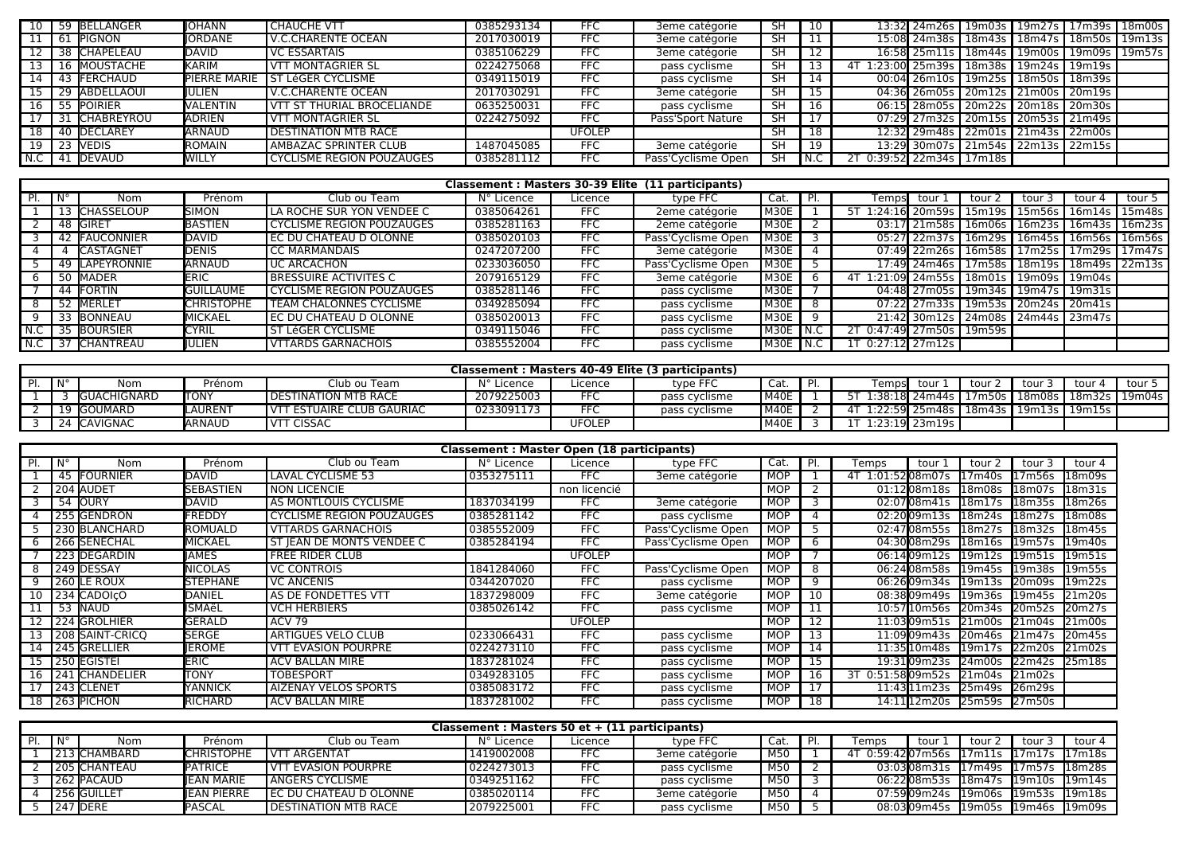| $10-1$          |    | 59 BELLANGER        | IIOHANN         | <b>CHAUCHE VTT</b>                 | 0385293134 | <b>FFC</b>    | 3eme catégorie     | <b>SH</b>       | 10  | 13:32 24m26s 19m03s 19m27s 17m39s 18m00s         |  |  |
|-----------------|----|---------------------|-----------------|------------------------------------|------------|---------------|--------------------|-----------------|-----|--------------------------------------------------|--|--|
|                 | 61 | . <b>I</b> PIGNON   | <b>IORDANE</b>  | V.C.CHARENTE OCEAN                 | 2017030019 | <b>FFC</b>    | 3eme catégorie     | <b>SH</b>       |     | 15:08 24m38s   18m43s   18m47s   18m50s   19m13s |  |  |
| 12 I            |    | 38 CHAPELEAU        | DAVID           | <b>VC ESSARTAIS</b>                | 0385106229 | <b>FFC</b>    | 3eme catégorie     | <b>SH</b>       |     | 16:58 25m11s   18m44s   19m00s   19m09s   19m57s |  |  |
|                 |    | <b>16 MOUSTACHE</b> | <b>KARIM</b>    | <b>VTT MONTAGRIER SL</b>           | 0224275068 | <b>FFC</b>    | pass cyclisme      | <b>SH</b>       |     | 4T 1:23:00 25m39s   18m38s   19m24s   19m19s     |  |  |
| 14              |    | 43 FERCHAUD         |                 | PIERRE MARIE 1 ST LéGER CYCLISME   | 0349115019 | <b>FFC</b>    | pass cyclisme      | $\overline{S}H$ | 14  | 00:04 26m10s 19m25s 18m50s 18m39s                |  |  |
|                 |    | 29 ABDELLAOUI       | IIULIEN         | <b>V.C.CHARENTE OCEAN</b>          | 2017030291 | <b>FFC</b>    | 3eme catégorie     | <b>SH</b>       |     | 04:36 26m05s 20m12s 21m00s 20m19s                |  |  |
| 16              |    | <b>POIRIER</b>      | <b>VALENTIN</b> | <b>TVTT ST THURIAL BROCELIANDE</b> | 0635250031 | <b>FFC</b>    | pass cyclisme      | <b>SH</b>       | 16  | 06:15 28m05s 20m22s 20m18s 20m30s                |  |  |
|                 |    | 31 CHABREYROU       | <b>ADRIEN</b>   | <b>VTT MONTAGRIER SL</b>           | 0224275092 | <b>FFC</b>    | Pass'Sport Nature  | <b>SH</b>       |     | 07:29 27m32s 20m15s 20m53s 21m49s                |  |  |
| 18 <sup>1</sup> |    | 40 DECLAREY         | ARNAUD          | <b>DESTINATION MTB RACE</b>        |            | <b>UFOLEP</b> |                    | <b>SH</b>       | 18  | 12:32 29m48s 22m01s 21m43s 22m00s                |  |  |
| 19 I            |    | 23 IVEDIS           | <b>I</b> ROMAIN | <b>AMBAZAC SPRINTER CLUB</b>       | 1487045085 | <b>FFC</b>    | 3eme catégorie     | <b>SH</b>       | 19  | 13:29 30m07s 21m54s 22m13s 22m15s                |  |  |
|                 |    | N.C   41 DEVAUD     | WILLY           | <b>CYCLISME REGION POUZAUGES</b>   | 0385281112 | <b>FFC</b>    | Pass'Cyclisme Open | <b>SH</b>       | N.C | 2T 0:39:52 22m34s 17m18s                         |  |  |

|          | Classement: Masters 30-39 Elite (11 participants) |                  |                    |                                |            |            |                    |              |   |                   |                  |                                                  |                      |        |        |
|----------|---------------------------------------------------|------------------|--------------------|--------------------------------|------------|------------|--------------------|--------------|---|-------------------|------------------|--------------------------------------------------|----------------------|--------|--------|
| PL       | l N°                                              | Nom              | Prénom             | Club ou Team                   | N° Licence | Licence    | type FFC           | Cat.         |   |                   | Temps tour 1     | tour 2                                           | tour                 | tour 4 | tour 5 |
|          |                                                   | 13 CHASSELOUP    | <b>SIMON</b>       | LA ROCHE SUR YON VENDEE C      | 0385064261 | FFC        | 2eme catégorie     | M30E         |   | 5T 1:24:16 20m59s |                  | 15m19s l                                         | 15m56s 16m14s 15m48s |        |        |
|          |                                                   | 48 GIRET         | BASTIEN            | CYCLISME REGION POUZAUGES      | 0385281163 | <b>FFC</b> | 2eme catégorie     | M30E         |   |                   |                  | 03:17 21m58s   16m06s   16m23s   16m43s   16m23s |                      |        |        |
|          |                                                   | 42 FAUCONNIER    | DAVID              | EC DU CHATEAU D OLONNE         | 0385020103 | <b>FFC</b> | Pass'Cyclisme Open | M30E         |   |                   |                  | 05:27 22m37s   16m29s   16m45s   16m56s   16m56s |                      |        |        |
|          |                                                   | <b>CASTAGNET</b> | <b>DENIS</b>       | <b>CC MARMANDAIS</b>           | 0247207200 | <b>FFC</b> | 3eme catégorie     | M30E I       |   |                   |                  | 07:49 22m26s   16m58s   17m25s   17m29s   17m47s |                      |        |        |
|          |                                                   | 49 LAPEYRONNIE   | ARNAUD             | UC ARCACHON                    | 0233036050 | <b>FFC</b> | Pass'Cyclisme Open | M30E I       |   |                   |                  | 17:49 24m46s   17m58s   18m19s   18m49s   22m13s |                      |        |        |
|          | 50                                                | <b>IMADER</b>    | <b>IERIC</b>       | <b>BRESSUIRE ACTIVITES C</b>   | 2079165129 | <b>FFC</b> | 3eme catégorie     | M30E         |   | 4T                |                  | 1:21:09 24m55s   18m01s   19m09s   19m04s        |                      |        |        |
|          |                                                   | 44 FORTIN        | <b>l</b> GUILLAUME | CYCLISME REGION POUZAUGES      | 0385281146 | <b>FFC</b> | pass cyclisme      | M30E         |   |                   |                  | 04:48 27m05s   19m34s   19m47s   19m31s          |                      |        |        |
|          | - 52                                              | <b>IMERLET</b>   | <b>CHRISTOPHE</b>  | <b>TEAM CHALONNES CYCLISME</b> | 0349285094 | <b>FFC</b> | pass cyclisme      | M30E I       |   |                   |                  | 07:22 27m33s   19m53s   20m24s   20m41s          |                      |        |        |
| $\Omega$ |                                                   | 33 BONNEAU       | <b>MICKAEL</b>     | I EC DU CHATEAU D OLONNE       | 0385020013 | FFC        | pass cyclisme      | M30E         | q |                   |                  | 21:42 30m12s 24m08s 24m44s 23m47s                |                      |        |        |
| N.C      |                                                   | 35 BOURSIER      | <b>CYRIL</b>       | ST LéGER CYCLISME              | 0349115046 | FFC        | pass cyclisme      | M30E   N.C   |   | 2T                |                  | 0:47:49 27m50s   19m59s                          |                      |        |        |
|          |                                                   | 37 CHANTREAU     | IIULIEN            | <b>VTTARDS GARNACHOIS</b>      | 0385552004 | FFC.       | pass cyclisme      | $M30E$ $N.C$ |   |                   | $0:27:12$ 27m12s |                                                  |                      |        |        |

| Classement: Masters 40-49 Elite (3 participants) |                     |         |                               |            |               |               |      |    |        |                |                                                    |      |           |        |
|--------------------------------------------------|---------------------|---------|-------------------------------|------------|---------------|---------------|------|----|--------|----------------|----------------------------------------------------|------|-----------|--------|
| $\blacksquare$                                   | Nom                 | Prénom  | Club ou Team                  | N° Licence | Licence       | type FFC      | Cat. | DI | Tempsl | tour           | tour 2                                             | tour | $t$ our 4 | tour 5 |
|                                                  | <b>IGUACHIGNARD</b> | ΙτοΝΥ   | <b>I DESTINATION MTB RACE</b> | 2079225003 | EEC           | pass cyclisme | M40E |    |        |                | 1:38:18 24m44s   17m50s   18m08s   18m32s   19m04s |      |           |        |
|                                                  | <b>I</b> GOUMARD    | _AUREN1 | I VTT ESTUAIRE CLUB GAURIAC   | 0233091173 | ---           | pass cyclisme | M40E |    |        |                |                                                    |      | 19m15s    |        |
| 24                                               | <b>I</b> CAVIGNAC   | IARNAUD | <b>VTT CISSAC</b>             |            | <b>UFOLEP</b> |               | M40E |    |        | 1:23:19 23m19s |                                                    |      |           |        |

|      | <b>Classement: Master Open (18 participants)</b> |                        |                   |                                  |            |               |                    |            |     |                      |                                 |                     |                    |  |
|------|--------------------------------------------------|------------------------|-------------------|----------------------------------|------------|---------------|--------------------|------------|-----|----------------------|---------------------------------|---------------------|--------------------|--|
|      | N°                                               | Nom                    | Prénom            | Club ou Team                     | N° Licence | Licence       | type $FFC$         | Cat.       | PI. | Temps<br>tour 1      | tour 2                          | tour 3              | tour 4             |  |
|      | 45                                               | FOURNIER               | IDAVID            | LAVAL CYCLISME 53                | 0353275111 | <b>FFC</b>    | 3eme catégorie     | MOP        |     | 4T 1:01:5208m07s     | .7m40s                          | 17m56s              | 18m09s             |  |
|      |                                                  | 204 <b>I</b> AUDE1     | SEBASTIEN         | <b>NON LICENCIE</b>              |            | non licencié  |                    | <b>MOP</b> |     | 01:1208m18s          | l18m08s                         | 18m07s              | 18 <sub>m31s</sub> |  |
|      | 54                                               | <b>I</b> OURY          | DAVID             | AS MONTLOUIS CYCLISME            | 1837034199 | <b>FFC</b>    | 3eme catégorie     | <b>MOP</b> |     | 02:07 08 m 41s       | 18m17s                          | 18m35s              | 18m26s             |  |
|      |                                                  | 255 GENDRON            | FREDDY            | <b>CYCLISME REGION POUZAUGES</b> | 0385281142 | <b>FFC</b>    | pass cyclisme      | <b>MOP</b> |     | 02:2009m13s          | 18 <sub>m24s</sub>              | 18m27s              | 18m08s             |  |
|      |                                                  | 230 BLANCHARD          | <b>ROMUALD</b>    | <b>VTTARDS GARNACHOIS</b>        | 0385552009 | <b>FFC</b>    | Pass'Cyclisme Open | <b>MOP</b> |     | 02:4708m55s          | 18m27s                          | 18m32s              | 18m45s             |  |
|      |                                                  | 266 SENECHAL           | MICKAEL           | ST JEAN DE MONTS VENDEE C        | 0385284194 | <b>FFC</b>    | Pass'Cyclisme Open | <b>MOP</b> | 6   | 04:3008m29s          | 13 <sub>m16s</sub>              | l19m57s             | 19m40s             |  |
|      |                                                  | 223 DEGARDIN           | <b>IAMES</b>      | <b>FREE RIDER CLUB</b>           |            | <b>UFOLEP</b> |                    | <b>MOP</b> |     | 06:1409m12s          | 119m12s                         | 19m51s              | 19m51s             |  |
|      |                                                  | 249 <b>IDESSAY</b>     | <b>I</b> NICOLAS  | <b>VC CONTROIS</b>               | 1841284060 | <b>FFC</b>    | Pass'Cyclisme Open | <b>MOP</b> | 8   | 06:2408m58s          | 19 <sub>m45s</sub>              | 19 <sub>m38s</sub>  | 19m55s             |  |
|      |                                                  | 260 ILE ROUX           | <b>I</b> STEPHANE | <b>VC ANCENIS</b>                | 0344207020 | <b>FFC</b>    | pass cyclisme      | MOP        | 9   | 06:2609m34s          | l19m13s                         | 20m09s              | 19 <sub>m22s</sub> |  |
| 10   |                                                  | 234 CADOICO            | DANIEL            | AS DE FONDETTES VTT              | 1837298009 | <b>FFC</b>    | 3eme catégorie     | <b>MOP</b> | 10  | 08:3809m49s          | 19 <sub>m36s</sub>              | 19m45s              | 21m20s             |  |
|      | 53                                               | <b>I</b> NAUD          | lSMAëL            | <b>VCH HERBIERS</b>              | 0385026142 | <b>FFC</b>    | pass cyclisme      | MOP        |     | 10:57110m56s         | 120 <sub>m34s</sub>             | 20m52s              | 20m27s             |  |
|      |                                                  | 224 GROLHIER           | <b>GERALD</b>     | <b>ACV 79</b>                    |            | <b>UFOLEP</b> |                    | MOP        |     | 11:03 09 m 51 s      | 21 <sub>m</sub> 00 <sub>s</sub> | 21m04s              | 21m00s             |  |
|      |                                                  | 208 SAINT-CRICO        | <b>I</b> SERGE    | ARTIGUES VELO CLUB               | 0233066431 | <b>FFC</b>    | pass cyclisme      | <b>MOP</b> | 13  | 11:09 09 m 43s       | 20 <sub>m46s</sub>              |                     | 20m45s             |  |
| 14 I |                                                  | 245 GRELLIER           | <b>IEROME</b>     | <b>VTT EVASION POURPRE</b>       | 0224273110 | <b>FFC</b>    | pass cyclisme      | <b>MOP</b> | 14  | 11:35 10 m 48s       | 119m17s                         | $22m\overline{20s}$ | 21m02s             |  |
| 15 I |                                                  | l 250 <b>I</b> EGISTEI | ERIC              | <b>ACV BALLAN MIRE</b>           | 1837281024 | <b>FFC</b>    | pass cyclisme      | <b>MOP</b> | 15  | 19:31 <b>09</b> m23s | 124m00s                         | 22m42s              | 25m18s             |  |
| 16 I |                                                  | 241 CHANDELIER         | ITONY             | <b>TOBESPORT</b>                 | 0349283105 | <b>FFC</b>    | pass cyclisme      | <b>MOP</b> | 16  | 3T 0:51:5809m52s     | l21m04s                         | 21m02s              |                    |  |
|      |                                                  | 243 CLENET             | <b>YANNICK</b>    | <b>AIZENAY VELOS SPORTS</b>      | 0385083172 | <b>FFC</b>    | pass cyclisme      | <b>MOP</b> | 17  | 11:431<br>11m23s     | 25m49s                          | 26m29s              |                    |  |
|      |                                                  | 18 263 PICHON          | RICHARD           | <b>ACV BALLAN MIRE</b>           | 1837281002 | <b>FFC</b>    | pass cyclisme      | MOP        | 18  | 14:11 12 m 20 s      | 25m59s                          | 27m50s              |                    |  |

| Classement : Masters 50 et $+$ (11 participants) |                     |                     |                             |            |            |                |      |  |                                           |        |                                     |      |        |
|--------------------------------------------------|---------------------|---------------------|-----------------------------|------------|------------|----------------|------|--|-------------------------------------------|--------|-------------------------------------|------|--------|
| $\mathsf{N}^{\circ}$                             | Nom                 | Prénom              | Club ou Team                | N° Licence | Licence    | type FFC       | Cat. |  | Temps                                     | tour : | tour 2                              | tour | tour 4 |
|                                                  | 1213 CHAMBARD       | <b>CHRISTOPHE</b>   | VTT ARGENTAT                | 1419002008 | <b>FFC</b> | 3eme catégorie | M50  |  | 4T 0:59:42l07m56s l17m11s l17m17s l17m18s |        |                                     |      |        |
|                                                  | <b>205 CHANTEAU</b> | <b>PATRICE</b>      | VTT EVASION POURPRE         | 0224273013 | <b>FFC</b> | pass cyclisme  | M50  |  |                                           |        | 03:0308m31s 17m49s 17m57s 18m28s    |      |        |
|                                                  | 262 PACAUD          | <b>I</b> IEAN MARIE | <b>ANGERS CYCLISME</b>      | 0349251162 | <b>FFC</b> | pass cyclisme  | M50  |  |                                           |        | 06:2208m53s 118m47s 119m10s 119m14s |      |        |
|                                                  | l 256 IGUILLET      | <b>IEAN PIERRE</b>  | EC DU CHATEAU D OLONNE      | 0385020114 | <b>FFC</b> | 3eme catégorie | M50  |  |                                           |        | 07:5909m24s 19m06s 19m53s 19m18s    |      |        |
|                                                  | 1247 IDERE          | <b>IPASCAL</b>      | <b>DESTINATION MTB RACE</b> | 2079225001 | <b>FFC</b> | pass cyclisme  | M50  |  |                                           |        | 08:0309m45s 19m05s 19m46s 19m09s    |      |        |